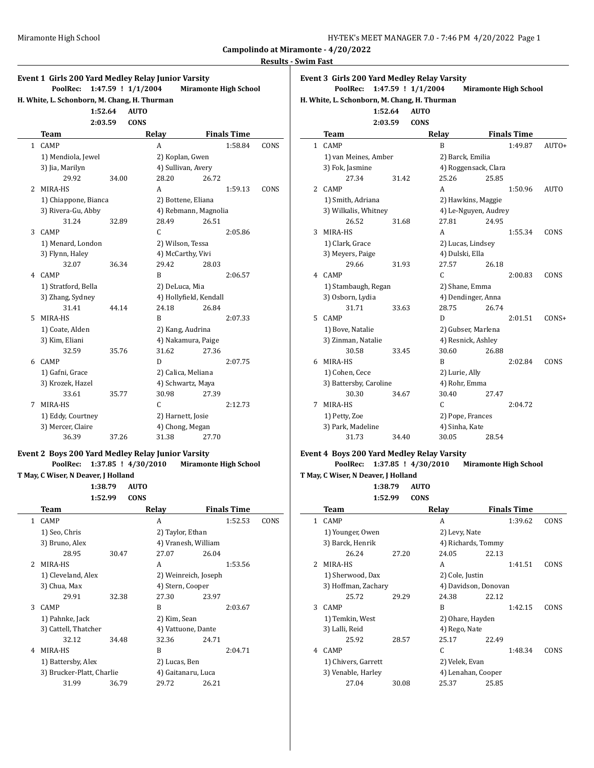| HY-TEK's MEET MANAGER 7.0 - 7:46 PM 4/20/2022 Page 1 |  |  |
|------------------------------------------------------|--|--|
|------------------------------------------------------|--|--|

#### **Swim Fast**

| Miramonte High School                                                                                                             |                                                  |                     |                                 |                    |      |                                                             | Campolindo at Miramonte - 4/20/2022                                                                |                                                                                 | HY-TEK's MEET MANAGER 7.0 - 7:46 PM 4/20/2022 Page 1 |                      |                             |
|-----------------------------------------------------------------------------------------------------------------------------------|--------------------------------------------------|---------------------|---------------------------------|--------------------|------|-------------------------------------------------------------|----------------------------------------------------------------------------------------------------|---------------------------------------------------------------------------------|------------------------------------------------------|----------------------|-----------------------------|
|                                                                                                                                   |                                                  |                     |                                 |                    |      | <b>Results - Swim Fast</b>                                  |                                                                                                    |                                                                                 |                                                      |                      |                             |
| Event 1 Girls 200 Yard Medley Relay Junior Varsity<br>PoolRec: 1:47.59 ! 1/1/2004<br>H. White, L. Schonborn, M. Chang, H. Thurman | 1:52.64<br><b>AUTO</b><br>2:03.59<br><b>CONS</b> |                     | <b>Miramonte High School</b>    |                    |      |                                                             | <b>Event 3 Girls 200 Yard Medley Relay Varsity</b><br>H. White, L. Schonborn, M. Chang, H. Thurman | PoolRec: 1:47.59 ! 1/1/2004<br>1:52.64<br><b>AUTO</b><br>2:03.59<br><b>CONS</b> |                                                      |                      | <b>Miramonte High Schoo</b> |
| Team                                                                                                                              |                                                  | Relay               |                                 | <b>Finals Time</b> |      |                                                             | <b>Team</b>                                                                                        |                                                                                 | Relay                                                |                      | <b>Finals Time</b>          |
| 1 CAMP                                                                                                                            |                                                  | A                   |                                 | 1:58.84            | CONS |                                                             | 1 CAMP                                                                                             |                                                                                 | B                                                    |                      | 1:49.87                     |
| 1) Mendiola, Jewel                                                                                                                |                                                  | 2) Koplan, Gwen     |                                 |                    |      |                                                             | 1) van Meines, Amber                                                                               |                                                                                 | 2) Barck, Emilia                                     |                      |                             |
| 3) Jia, Marilyn                                                                                                                   |                                                  | 4) Sullivan, Avery  |                                 |                    |      |                                                             | 3) Fok, Jasmine                                                                                    |                                                                                 |                                                      | 4) Roggensack, Clara |                             |
| 29.92                                                                                                                             | 34.00                                            | 28.20               | 26.72                           |                    |      |                                                             | 27.34                                                                                              | 31.42                                                                           | 25.26                                                | 25.85                |                             |
| 2 MIRA-HS                                                                                                                         |                                                  | A                   |                                 | 1:59.13            | CONS |                                                             | 2 CAMP                                                                                             |                                                                                 | A                                                    |                      | 1:50.96                     |
| 1) Chiappone, Bianca                                                                                                              |                                                  | 2) Bottene, Eliana  |                                 |                    |      |                                                             | 1) Smith, Adriana                                                                                  |                                                                                 | 2) Hawkins, Maggie                                   |                      |                             |
| 3) Rivera-Gu, Abby                                                                                                                |                                                  |                     | 4) Rebmann, Magnolia            |                    |      |                                                             | 3) Wilkalis, Whitney                                                                               |                                                                                 |                                                      | 4) Le-Nguyen, Audrey |                             |
| 31.24                                                                                                                             | 32.89                                            | 28.49               | 26.51                           |                    |      |                                                             | 26.52                                                                                              | 31.68                                                                           | 27.81                                                | 24.95                |                             |
| 3 CAMP                                                                                                                            |                                                  | C                   |                                 | 2:05.86            |      |                                                             | 3 MIRA-HS                                                                                          |                                                                                 | A                                                    |                      | 1:55.34                     |
| 1) Menard, London                                                                                                                 |                                                  | 2) Wilson, Tessa    |                                 |                    |      |                                                             | 1) Clark, Grace                                                                                    |                                                                                 | 2) Lucas, Lindsey                                    |                      |                             |
| 3) Flynn, Haley                                                                                                                   |                                                  | 4) McCarthy, Vivi   |                                 |                    |      |                                                             | 3) Meyers, Paige                                                                                   |                                                                                 | 4) Dulski, Ella                                      |                      |                             |
| 32.07                                                                                                                             | 36.34                                            | 29.42               | 28.03                           |                    |      |                                                             | 29.66                                                                                              | 31.93                                                                           | 27.57                                                | 26.18                |                             |
| 4 CAMP                                                                                                                            |                                                  | B                   |                                 | 2:06.57            |      |                                                             | 4 CAMP                                                                                             |                                                                                 | $\mathsf{C}$                                         |                      | 2:00.83                     |
| 1) Stratford, Bella                                                                                                               |                                                  | 2) DeLuca, Mia      |                                 |                    |      | 2) Shane, Emma<br>1) Stambaugh, Regan<br>4) Dendinger, Anna |                                                                                                    |                                                                                 |                                                      |                      |                             |
| 3) Zhang, Sydney<br>31.41                                                                                                         | 44.14                                            | 24.18               | 4) Hollyfield, Kendall<br>26.84 |                    |      |                                                             | 3) Osborn, Lydia<br>31.71                                                                          | 33.63                                                                           | 28.75                                                | 26.74                |                             |
| 5 MIRA-HS                                                                                                                         |                                                  | B                   |                                 | 2:07.33            |      |                                                             | 5 CAMP                                                                                             |                                                                                 | D                                                    |                      | 2:01.51                     |
| 1) Coate, Alden                                                                                                                   |                                                  | 2) Kang, Audrina    |                                 |                    |      |                                                             | 1) Bove, Natalie                                                                                   |                                                                                 | 2) Gubser, Marlena                                   |                      |                             |
| 3) Kim, Eliani                                                                                                                    |                                                  | 4) Nakamura, Paige  |                                 |                    |      |                                                             | 3) Zinman, Natalie                                                                                 |                                                                                 | 4) Resnick, Ashley                                   |                      |                             |
| 32.59                                                                                                                             | 35.76                                            | 31.62               | 27.36                           |                    |      |                                                             | 30.58                                                                                              | 33.45                                                                           | 30.60                                                | 26.88                |                             |
| 6 CAMP                                                                                                                            |                                                  | D                   |                                 | 2:07.75            |      |                                                             | 6 MIRA-HS                                                                                          |                                                                                 | B                                                    |                      | 2:02.84                     |
| 1) Gafni, Grace                                                                                                                   |                                                  | 2) Calica, Meliana  |                                 |                    |      |                                                             | 1) Cohen, Cece                                                                                     |                                                                                 | 2) Lurie, Ally                                       |                      |                             |
| 3) Krozek, Hazel                                                                                                                  |                                                  | 4) Schwartz, Maya   |                                 |                    |      |                                                             | 3) Battersby, Caroline                                                                             |                                                                                 | 4) Rohr, Emma                                        |                      |                             |
| 33.61                                                                                                                             | 35.77                                            | 30.98               | 27.39                           |                    |      |                                                             | 30.30                                                                                              | 34.67                                                                           | 30.40                                                | 27.47                |                             |
| 7 MIRA-HS                                                                                                                         |                                                  | C                   |                                 | 2:12.73            |      |                                                             | 7 MIRA-HS                                                                                          |                                                                                 | $\mathsf{C}$                                         |                      | 2:04.72                     |
| 1) Eddy, Courtney                                                                                                                 |                                                  | 2) Harnett, Josie   |                                 |                    |      |                                                             | 1) Petty, Zoe                                                                                      |                                                                                 | 2) Pope, Frances                                     |                      |                             |
| 3) Mercer, Claire                                                                                                                 |                                                  | 4) Chong, Megan     |                                 |                    |      |                                                             | 3) Park, Madeline                                                                                  |                                                                                 | 4) Sinha, Kate                                       |                      |                             |
| 36.39                                                                                                                             | 37.26                                            | 31.38               | 27.70                           |                    |      |                                                             | 31.73                                                                                              | 34.40                                                                           | 30.05                                                | 28.54                |                             |
| Event 2 Boys 200 Yard Medley Relay Junior Varsity                                                                                 |                                                  |                     |                                 |                    |      |                                                             | Event 4 Boys 200 Yard Medley Relay Varsity                                                         |                                                                                 |                                                      |                      |                             |
| PoolRec: 1:37.85 ! 4/30/2010                                                                                                      |                                                  |                     | <b>Miramonte High School</b>    |                    |      |                                                             |                                                                                                    | PoolRec: 1:37.85 ! 4/30/2010                                                    |                                                      |                      | <b>Miramonte High Schoo</b> |
| T May, C Wiser, N Deaver, J Holland                                                                                               |                                                  |                     |                                 |                    |      |                                                             | T May, C Wiser, N Deaver, J Holland                                                                |                                                                                 |                                                      |                      |                             |
|                                                                                                                                   | 1:38.79<br><b>AUTO</b>                           |                     |                                 |                    |      |                                                             |                                                                                                    | 1:38.79<br><b>AUTO</b>                                                          |                                                      |                      |                             |
| 1:52.99                                                                                                                           | <b>CONS</b>                                      |                     |                                 |                    |      |                                                             |                                                                                                    | 1:52.99<br><b>CONS</b>                                                          |                                                      |                      |                             |
| Team                                                                                                                              |                                                  | Relay               |                                 | <b>Finals Time</b> |      |                                                             | Team                                                                                               |                                                                                 | Relay                                                |                      | <b>Finals Time</b>          |
| 1 CAMP                                                                                                                            |                                                  | Α                   |                                 | 1:52.53            | CONS |                                                             | 1 CAMP                                                                                             |                                                                                 | A                                                    |                      | 1:39.62                     |
| 1) Seo, Chris                                                                                                                     |                                                  | 2) Taylor, Ethan    |                                 |                    |      |                                                             | 1) Younger, Owen                                                                                   |                                                                                 | 2) Levy, Nate                                        |                      |                             |
| 3) Bruno, Alex                                                                                                                    |                                                  | 4) Vranesh, William |                                 |                    |      |                                                             | 3) Barck, Henrik                                                                                   |                                                                                 |                                                      | 4) Richards, Tommy   |                             |
| 28.95                                                                                                                             | 30.47                                            | 27.07               | 26.04                           |                    |      |                                                             | 26.24                                                                                              | 27.20                                                                           | 24.05                                                | 22.13                |                             |
| 2 MIRA-HS                                                                                                                         |                                                  | A                   |                                 | 1:53.56            |      |                                                             | 2 MIRA-HS                                                                                          |                                                                                 | A                                                    |                      | 1:41.51                     |
| 1) Cleveland, Alex                                                                                                                |                                                  |                     | 2) Weinreich, Joseph            |                    |      |                                                             | 1) Sherwood, Dax                                                                                   |                                                                                 | 2) Cole, Justin                                      |                      |                             |
| 3) Chua, Max                                                                                                                      |                                                  | 4) Stern, Cooper    |                                 |                    |      |                                                             | 3) Hoffman, Zachary                                                                                |                                                                                 |                                                      | 4) Davidson, Donovan |                             |
| 29.91                                                                                                                             | 32.38                                            | 27.30               | 23.97                           |                    |      |                                                             | 25.72                                                                                              | 29.29                                                                           | 24.38                                                | 22.12                |                             |
| 3 CAMP                                                                                                                            |                                                  | B                   |                                 | 2:03.67            |      |                                                             | 3 CAMP                                                                                             |                                                                                 | B                                                    |                      | 1:42.15                     |

1) Pahnke, Jack 2) Kim, Sean 3) Cattell, Thatcher 4) Vattuone, Dante 32.12 34.48 32.36 24.71 4 MIRA-HS B 2:04.71

1) Battersby, Alex 2) Lucas, Ben 3) Brucker-Platt, Charlie 4) Gaitanaru, Luca 31.99 36.79 29.72 26.21

# **Event 3 Girls 200 Yard Medley Relay Varsity**

#### **1:52.64 AUTO 2:03.59 CONS**

|   | Team                   |       | Relay                |       | <b>Finals Time</b> |             |
|---|------------------------|-------|----------------------|-------|--------------------|-------------|
| 1 | <b>CAMP</b>            |       | B                    |       | 1:49.87            | AUTO+       |
|   | 1) van Meines, Amber   |       | 2) Barck, Emilia     |       |                    |             |
|   | 3) Fok, Jasmine        |       | 4) Roggensack, Clara |       |                    |             |
|   | 27.34                  | 31.42 | 25.26                | 25.85 |                    |             |
| 2 | <b>CAMP</b>            |       | A                    |       | 1:50.96            | <b>AUTO</b> |
|   | 1) Smith, Adriana      |       | 2) Hawkins, Maggie   |       |                    |             |
|   | 3) Wilkalis, Whitney   |       | 4) Le-Nguyen, Audrey |       |                    |             |
|   | 26.52                  | 31.68 | 27.81                | 24.95 |                    |             |
| 3 | MIRA-HS                |       | A                    |       | 1:55.34            | CONS        |
|   | 1) Clark, Grace        |       | 2) Lucas, Lindsey    |       |                    |             |
|   | 3) Meyers, Paige       |       | 4) Dulski, Ella      |       |                    |             |
|   | 29.66                  | 31.93 | 27.57                | 26.18 |                    |             |
| 4 | <b>CAMP</b>            |       | C                    |       | 2:00.83            | CONS        |
|   | 1) Stambaugh, Regan    |       | 2) Shane, Emma       |       |                    |             |
|   | 3) Osborn, Lydia       |       | 4) Dendinger, Anna   |       |                    |             |
|   | 31.71                  | 33.63 | 28.75                | 26.74 |                    |             |
| 5 | <b>CAMP</b>            |       | D                    |       | 2:01.51            | $CONS+$     |
|   | 1) Bove, Natalie       |       | 2) Gubser, Marlena   |       |                    |             |
|   | 3) Zinman, Natalie     |       | 4) Resnick, Ashley   |       |                    |             |
|   | 30.58                  | 33.45 | 30.60                | 26.88 |                    |             |
| 6 | MIRA-HS                |       | B                    |       | 2:02.84            | CONS        |
|   | 1) Cohen, Cece         |       | 2) Lurie, Ally       |       |                    |             |
|   | 3) Battersby, Caroline |       | 4) Rohr, Emma        |       |                    |             |
|   | 30.30                  | 34.67 | 30.40                | 27.47 |                    |             |
| 7 | MIRA-HS                |       | C                    |       | 2:04.72            |             |
|   | 1) Petty, Zoe          |       | 2) Pope, Frances     |       |                    |             |
|   | 3) Park, Madeline      |       | 4) Sinha, Kate       |       |                    |             |
|   | 31.73                  | 34.40 | 30.05                | 28.54 |                    |             |

#### **Event 4 Boys 200 Yard Medley Relay Varsity**

|   | Team                |       | Relay                |       | <b>Finals Time</b> |      |
|---|---------------------|-------|----------------------|-------|--------------------|------|
| 1 | <b>CAMP</b>         |       | A                    |       | 1:39.62            | CONS |
|   | 1) Younger, Owen    |       | 2) Levy, Nate        |       |                    |      |
|   | 3) Barck, Henrik    |       | 4) Richards, Tommy   |       |                    |      |
|   | 26.24               | 27.20 | 24.05                | 22.13 |                    |      |
| 2 | MIRA-HS             |       | A                    |       | 1:41.51            | CONS |
|   | 1) Sherwood, Dax    |       | 2) Cole, Justin      |       |                    |      |
|   | 3) Hoffman, Zachary |       | 4) Davidson, Donovan |       |                    |      |
|   | 25.72               | 29.29 | 24.38                | 22.12 |                    |      |
| 3 | <b>CAMP</b>         |       | R                    |       | 1:42.15            | CONS |
|   | 1) Temkin, West     |       | 2) Ohare, Hayden     |       |                    |      |
|   | 3) Lalli, Reid      |       | 4) Rego, Nate        |       |                    |      |
|   | 25.92               | 28.57 | 25.17                | 22.49 |                    |      |
| 4 | <b>CAMP</b>         |       | C                    |       | 1:48.34            | CONS |
|   | 1) Chivers, Garrett |       | 2) Velek, Evan       |       |                    |      |
|   | 3) Venable, Harley  |       | 4) Lenahan, Cooper   |       |                    |      |
|   | 27.04               | 30.08 | 25.37                | 25.85 |                    |      |
|   |                     |       |                      |       |                    |      |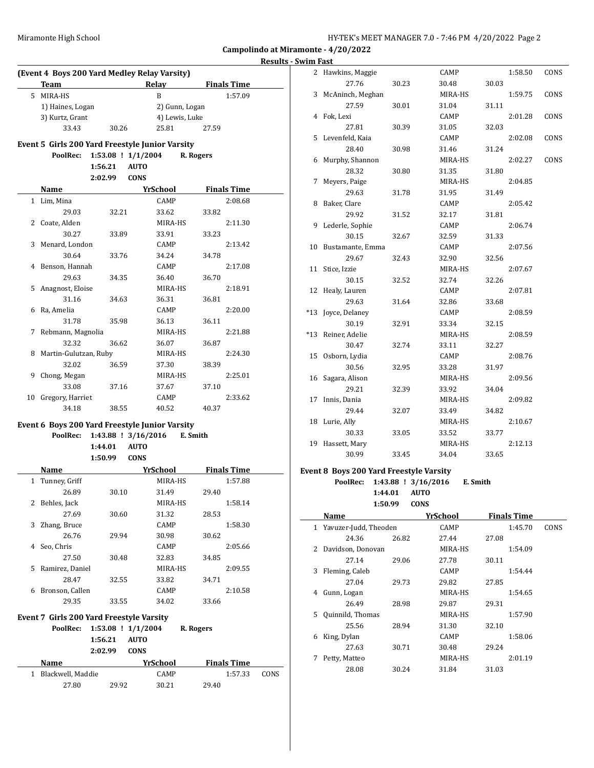2 Hawkins, Maggie CAMP 1:58.50 CONS

**Campolindo at Miramonte - 4/20/2022**

## **Results - Swim Fast (Event 4 Boys 200 Yard Medley Relay Varsity) Team Relay Finals Time** 5 MIRA-HS B 1:57.09 1) Haines, Logan 2) Gunn, Logan 3) Kurtz, Grant 4) Lewis, Luke 33.43 30.26 25.81 27.59 **Event 5 Girls 200 Yard Freestyle Junior Varsity PoolRec: 1:53.08 ! 1/1/2004 R. Rogers 1:56.21 AUTO 2:02.99 CONS Name Yr School Finals Time** 1 Lim, Mina CAMP 2:08.68 29.03 32.21 33.62 33.82 2 Coate, Alden MIRA-HS 2:11.30 30.27 33.89 33.91 33.23 3 Menard, London CAMP 2:13.42 30.64 33.76 34.24 34.78 4 Benson, Hannah CAMP 2:17.08 29.63 34.35 36.40 36.70 5 Anagnost, Eloise MIRA-HS 2:18.91 31.16 34.63 36.31 36.81 6 Ra, Amelia CAMP 2:20.00 31.78 35.98 36.13 36.11 7 Rebmann, Magnolia MIRA-HS 2:21.88 32.32 36.62 36.07 36.87 8 Martin-Gulutzan, Ruby MIRA-HS 2:24.30 32.02 36.59 37.30 38.39 9 Chong, Megan MIRA-HS 2:25.01 33.08 37.16 37.67 37.10 10 Gregory, Harriet CAMP 2:33.62 34.18 38.55 40.52 40.37 **Event 6 Boys 200 Yard Freestyle Junior Varsity PoolRec: 1:43.88 ! 3/16/2016 E. Smith 1:44.01 AUTO 1:50.99 CONS Name** *YrSchool* **<b>Finals Time** 1 Tunney, Griff MIRA-HS 1:57.88 26.89 30.10 31.49 29.40 2 Behles, Jack MIRA-HS 1:58.14 27.69 30.60 31.32 28.53 3 Zhang, Bruce CAMP 1:58.30 26.76 29.94 30.98 30.62 4 Seo, Chris CAMP 2:05.66 27.50 30.48 32.83 34.85 5 Ramirez, Daniel MIRA-HS 2:09.55 28.47 32.55 33.82 34.71 6 Bronson, Callen CAMP 2:10.58 29.35 33.55 34.02 33.66

#### 27.76 30.23 30.48 30.03 3 McAninch, Meghan MIRA-HS 1:59.75 CONS 27.59 30.01 31.04 31.11 4 Fok, Lexi CAMP 2:01.28 CONS 27.81 30.39 31.05 32.03 5 Levenfeld, Kaia CAMP 2:02.08 CONS 28.40 30.98 31.46 31.24 6 Murphy, Shannon MIRA-HS 2:02.27 CONS 28.32 30.80 31.35 31.80 7 Meyers, Paige MIRA-HS 2:04.85 29.63 31.78 31.95 31.49 8 Baker, Clare CAMP 2:05.42 29.92 31.52 32.17 31.81 9 Lederle, Sophie CAMP 2:06.74 30.15 32.67 32.59 31.33 10 Bustamante, Emma CAMP 2:07.56 29.67 32.43 32.90 32.56 11 Stice, Izzie MIRA-HS 2:07.67 30.15 32.52 32.74 32.26 12 Healy, Lauren CAMP 2:07.81 29.63 31.64 32.86 33.68 \*13 Joyce, Delaney CAMP 2:08.59 30.19 32.91 33.34 32.15 \*13 Reiner, Adelie MIRA-HS 2:08.59 30.47 32.74 33.11 32.27 15 Osborn, Lydia CAMP 2:08.76 30.56 32.95 33.28 31.97 16 Sagara, Alison MIRA-HS 2:09.56 29.21 32.39 33.92 34.04 17 Innis, Dania MIRA-HS 2:09.82 29.44 32.07 33.49 34.82 18 Lurie, Ally MIRA-HS 2:10.67 30.33 33.05 33.52 33.77 19 Hassett, Mary MIRA-HS 2:12.13 30.99 33.45 34.04 33.65 **Event 8 Boys 200 Yard Freestyle Varsity PoolRec: 1:43.88 ! 3/16/2016 E. Smith 1:44.01 AUTO**

**1:50.99 CONS**

|    | Name                  |       | YrSchool    | <b>Finals Time</b> |      |
|----|-----------------------|-------|-------------|--------------------|------|
| 1  | Yavuzer-Judd, Theoden |       | CAMP        | 1:45.70            | CONS |
|    | 24.36                 | 26.82 | 27.44       | 27.08              |      |
| 2  | Davidson, Donovan     |       | MIRA-HS     | 1:54.09            |      |
|    | 27.14                 | 29.06 | 27.78       | 30.11              |      |
| 3  | Fleming, Caleb        |       | CAMP        | 1:54.44            |      |
|    | 27.04                 | 29.73 | 29.82       | 27.85              |      |
| 4  | Gunn, Logan           |       | MIRA-HS     | 1:54.65            |      |
|    | 26.49                 | 28.98 | 29.87       | 29.31              |      |
| 5. | Quinnild, Thomas      |       | MIRA-HS     | 1:57.90            |      |
|    | 25.56                 | 28.94 | 31.30       | 32.10              |      |
| 6  | King, Dylan           |       | <b>CAMP</b> | 1:58.06            |      |
|    | 27.63                 | 30.71 | 30.48       | 29.24              |      |
| 7  | Petty, Matteo         |       | MIRA-HS     | 2:01.19            |      |
|    | 28.08                 | 30.24 | 31.84       | 31.03              |      |

|             | PoolRec:          |       | $1:53.08$ ! $1/1/2004$ |             | R. Rogers          |         |      |
|-------------|-------------------|-------|------------------------|-------------|--------------------|---------|------|
|             | 1:56.21           |       | <b>AUTO</b>            |             |                    |         |      |
|             | 2:02.99           |       | <b>CONS</b>            |             |                    |         |      |
| <b>Name</b> |                   |       |                        | YrSchool    | <b>Finals Time</b> |         |      |
| 1.          | Blackwell, Maddie |       |                        | <b>CAMP</b> |                    | 1:57.33 | CONS |
|             | 27.80             | 29.92 |                        | 30.21       | 29.40              |         |      |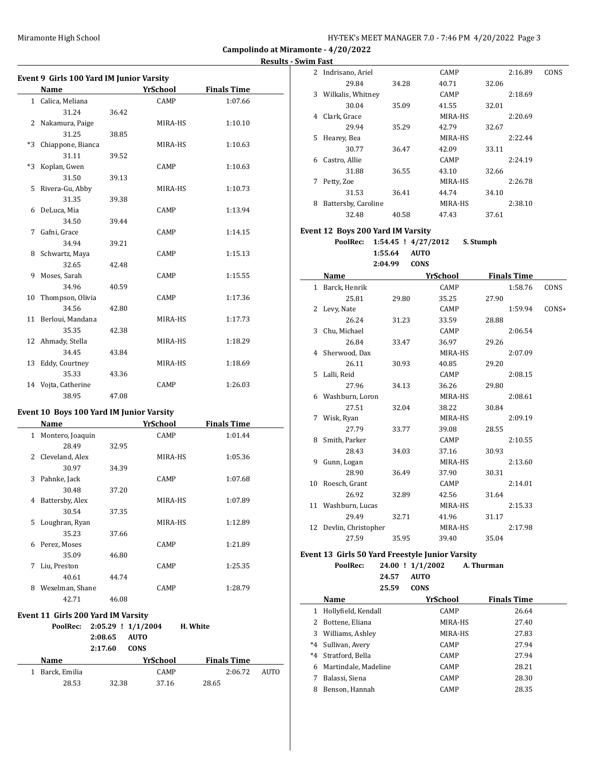**Campolindo at Miramonte - 4/20/2022 Results - Swim Fast**

| Name                    |       | <b>YrSchool</b> | <b>Finals Time</b> |
|-------------------------|-------|-----------------|--------------------|
| 1 Calica, Meliana       |       | CAMP            | 1:07.66            |
| 31.24                   | 36.42 |                 |                    |
| 2 Nakamura, Paige       |       | MIRA-HS         | 1:10.10            |
| 31.25                   | 38.85 |                 |                    |
| *3<br>Chiappone, Bianca |       | MIRA-HS         | 1:10.63            |
| 31.11                   | 39.52 |                 |                    |
| $*3$<br>Koplan, Gwen    |       | CAMP            | 1:10.63            |
| 31.50                   | 39.13 |                 |                    |
| Rivera-Gu, Abby<br>5    |       | MIRA-HS         | 1:10.73            |
| 31.35                   | 39.38 |                 |                    |
| 6 DeLuca, Mia           |       | CAMP            | 1:13.94            |
| 34.50                   | 39.44 |                 |                    |
| 7 Gafni, Grace          |       | CAMP            | 1:14.15            |
| 34.94                   | 39.21 |                 |                    |
| 8 Schwartz, Maya        |       | CAMP            | 1:15.13            |
| 32.65                   | 42.48 |                 |                    |
| Moses, Sarah<br>9       |       | CAMP            | 1:15.55            |
| 34.96                   | 40.59 |                 |                    |
| Thompson, Olivia<br>10  |       | CAMP            | 1:17.36            |
| 34.56                   | 42.80 |                 |                    |
| 11 Berloui, Mandana     |       | MIRA-HS         | 1:17.73            |
| 35.35                   | 42.38 |                 |                    |
| 12 Ahmady, Stella       |       | MIRA-HS         | 1:18.29            |
| 34.45                   | 43.84 |                 |                    |
| 13 Eddy, Courtney       |       | MIRA-HS         | 1:18.69            |
| 35.33                   | 43.36 |                 |                    |
| 14 Vojta, Catherine     |       | CAMP            | 1:26.03            |
| 38.95                   | 47.08 |                 |                    |

#### **Event 10 Boys 100 Yard IM Junior Varsity**

|    | Name             |       | YrSchool    | <b>Finals Time</b> |  |
|----|------------------|-------|-------------|--------------------|--|
| 1  | Montero, Joaquin |       | CAMP        | 1:01.44            |  |
|    | 28.49            | 32.95 |             |                    |  |
| 2  | Cleveland, Alex  |       | MIRA-HS     | 1:05.36            |  |
|    | 30.97            | 34.39 |             |                    |  |
| 3  | Pahnke, Jack     |       | <b>CAMP</b> | 1:07.68            |  |
|    | 30.48            | 37.20 |             |                    |  |
| 4  | Battersby, Alex  |       | MIRA-HS     | 1:07.89            |  |
|    | 30.54            | 37.35 |             |                    |  |
| 5. | Loughran, Ryan   |       | MIRA-HS     | 1:12.89            |  |
|    | 35.23            | 37.66 |             |                    |  |
| 6  | Perez, Moses     |       | CAMP        | 1:21.89            |  |
|    | 35.09            | 46.80 |             |                    |  |
| 7  | Liu, Preston     |       | CAMP        | 1:25.35            |  |
|    | 40.61            | 44.74 |             |                    |  |
| 8  | Wexelman, Shane  |       | CAMP        | 1:28.79            |  |
|    | 42.71            | 46.08 |             |                    |  |

#### **Event 11 Girls 200 Yard IM Varsity**

| PoolRec:      |         | $2:05.29$ ! $1/1/2004$ | H. White           |      |
|---------------|---------|------------------------|--------------------|------|
|               | 2:08.65 | <b>AUTO</b>            |                    |      |
|               | 2:17.60 | <b>CONS</b>            |                    |      |
|               |         |                        |                    |      |
| Name          |         | YrSchool               | <b>Finals Time</b> |      |
| Barck, Emilia |         | <b>CAMP</b>            | 2:06.72            | AUTO |
| 28.53         | 32.38   | 37.16                  | 28.65              |      |

| 2  | Indrisano, Ariel    |       | CAMP        |       | 2:16.89 | CONS |
|----|---------------------|-------|-------------|-------|---------|------|
|    | 29.84               | 34.28 | 40.71       | 32.06 |         |      |
| 3  | Wilkalis, Whitney   |       | <b>CAMP</b> |       | 2:18.69 |      |
|    | 30.04               | 35.09 | 41.55       | 32.01 |         |      |
| 4  | Clark, Grace        |       | MIRA-HS     |       | 2:20.69 |      |
|    | 29.94               | 35.29 | 42.79       | 32.67 |         |      |
| 5. | Hearey, Bea         |       | MIRA-HS     |       | 2:22.44 |      |
|    | 30.77               | 36.47 | 42.09       | 33.11 |         |      |
| 6  | Castro, Allie       |       | <b>CAMP</b> |       | 2:24.19 |      |
|    | 31.88               | 36.55 | 43.10       | 32.66 |         |      |
| 7  | Petty, Zoe          |       | MIRA-HS     |       | 2:26.78 |      |
|    | 31.53               | 36.41 | 44.74       | 34.10 |         |      |
| 8  | Battersby, Caroline |       | MIRA-HS     |       | 2:38.10 |      |
|    | 32.48               | 40.58 | 47.43       | 37.61 |         |      |
|    |                     |       |             |       |         |      |

#### **Event 12 Boys 200 Yard IM Varsity**

**PoolRec: 1:54.45 ! 4/27/2012 S. Stumph 1:55.64 AUTO 2:04.99 CONS**

|   | Name                   |       | YrSchool |       | <b>Finals Time</b> |         |
|---|------------------------|-------|----------|-------|--------------------|---------|
|   | 1 Barck, Henrik        |       | CAMP     |       | 1:58.76            | CONS    |
|   | 25.81                  | 29.80 | 35.25    | 27.90 |                    |         |
|   | 2 Levy, Nate           |       | CAMP     |       | 1:59.94            | $CONS+$ |
|   | 26.24                  | 31.23 | 33.59    | 28.88 |                    |         |
|   | 3 Chu, Michael         |       | CAMP     |       | 2:06.54            |         |
|   | 26.84                  | 33.47 | 36.97    | 29.26 |                    |         |
|   | 4 Sherwood, Dax        |       | MIRA-HS  |       | 2:07.09            |         |
|   | 26.11                  | 30.93 | 40.85    | 29.20 |                    |         |
|   | 5 Lalli, Reid          |       | CAMP     |       | 2:08.15            |         |
|   | 27.96                  | 34.13 | 36.26    | 29.80 |                    |         |
|   | 6 Washburn, Loron      |       | MIRA-HS  |       | 2:08.61            |         |
|   | 27.51                  | 32.04 | 38.22    | 30.84 |                    |         |
| 7 | Wisk, Ryan             |       | MIRA-HS  |       | 2:09.19            |         |
|   | 27.79                  | 33.77 | 39.08    | 28.55 |                    |         |
|   | 8 Smith, Parker        |       | CAMP     |       | 2:10.55            |         |
|   | 28.43                  | 34.03 | 37.16    | 30.93 |                    |         |
| 9 | Gunn, Logan            |       | MIRA-HS  |       | 2:13.60            |         |
|   | 28.90                  | 36.49 | 37.90    | 30.31 |                    |         |
|   | 10 Roesch, Grant       |       | CAMP     |       | 2:14.01            |         |
|   | 26.92                  | 32.89 | 42.56    | 31.64 |                    |         |
|   | 11 Washburn, Lucas     |       | MIRA-HS  |       | 2:15.33            |         |
|   | 29.49                  | 32.71 | 41.96    | 31.17 |                    |         |
|   | 12 Devlin, Christopher |       | MIRA-HS  |       | 2:17.98            |         |
|   | 27.59                  | 35.95 | 39.40    | 35.04 |                    |         |

#### **Event 13 Girls 50 Yard Freestyle Junior Varsity**

 $\overline{\phantom{a}}$ 

**PoolRec: 24.00 ! 1/1/2002 A. Thurman 24.57 AUTO**

**25.59 CONS**

|         | Name                 | YrSchool    | <b>Finals Time</b> |
|---------|----------------------|-------------|--------------------|
| 1       | Hollyfield, Kendall  | <b>CAMP</b> | 26.64              |
|         | Bottene, Eliana      | MIRA-HS     | 27.40              |
| 3       | Williams, Ashley     | MIRA-HS     | 27.83              |
| $*_{4}$ | Sullivan, Avery      | <b>CAMP</b> | 27.94              |
| $*_{4}$ | Stratford, Bella     | CAMP        | 27.94              |
| 6       | Martindale, Madeline | CAMP        | 28.21              |
| 7       | Balassi, Siena       | CAMP        | 28.30              |
| 8       | Benson, Hannah       | <b>CAMP</b> | 28.35              |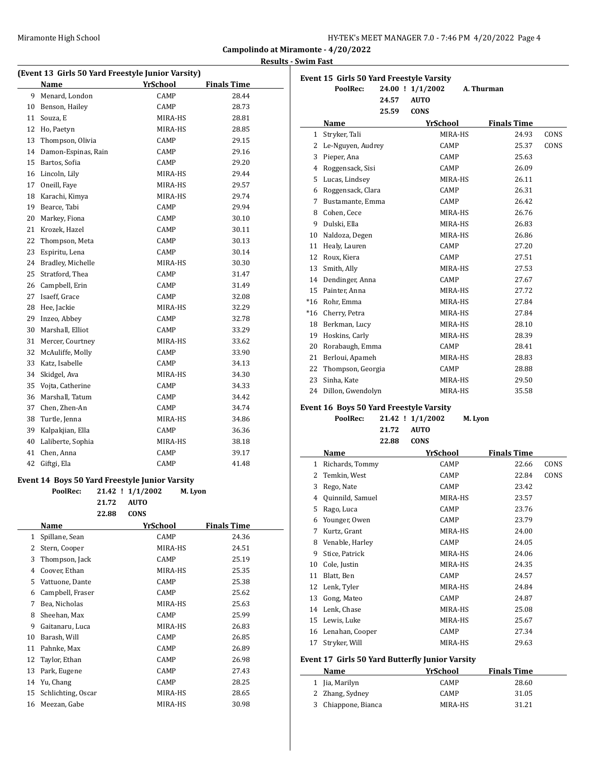| HY-TEK's MEET MANAGER 7.0 - 7:46 PM 4/20/2022 Page 4 |  |  |
|------------------------------------------------------|--|--|
|------------------------------------------------------|--|--|

## **Results - Swim Fast**

|        | (Event 13 Girls 50 Yard Freestyle Junior Varsity) |            |                  |                 |                    |
|--------|---------------------------------------------------|------------|------------------|-----------------|--------------------|
|        | Name                                              |            |                  | <u>YrSchool</u> | <b>Finals Time</b> |
| 9      | Menard, London                                    |            |                  | CAMP            | 28.44              |
| 10     | Benson, Hailey                                    |            |                  | CAMP            | 28.73              |
| 11     | Souza, E                                          |            |                  | MIRA-HS         | 28.81              |
|        | 12 Ho, Paetyn                                     |            |                  | MIRA-HS         | 28.85              |
|        | 13 Thompson, Olivia                               |            |                  | CAMP            | 29.15              |
|        | 14 Damon-Espinas, Rain                            |            |                  | CAMP            | 29.16              |
| 15     | Bartos, Sofia                                     |            |                  | CAMP            | 29.20              |
|        | 16 Lincoln, Lily                                  |            |                  | MIRA-HS         | 29.44              |
|        | 17 Oneill, Faye                                   |            |                  | MIRA-HS         | 29.57              |
| 18     | Karachi, Kimya                                    |            |                  | MIRA-HS         | 29.74              |
| 19     | Bearce, Tabi                                      |            |                  | CAMP            | 29.94              |
| 20     | Markey, Fiona                                     |            |                  | CAMP            | 30.10              |
| 21     | Krozek, Hazel                                     |            |                  | CAMP            | 30.11              |
| 22     | Thompson, Meta                                    |            |                  | CAMP            | 30.13              |
| 23     | Espiritu, Lena                                    |            |                  | CAMP            | 30.14              |
| 24     | Bradley, Michelle                                 |            |                  | MIRA-HS         | 30.30              |
| 25     | Stratford, Thea                                   |            |                  | CAMP            | 31.47              |
|        | 26 Campbell, Erin                                 |            |                  | CAMP            | 31.49              |
| 27     | Isaeff, Grace                                     |            |                  | CAMP            | 32.08              |
| 28     | Hee, Jackie                                       |            |                  | MIRA-HS         | 32.29              |
| 29     | Inzeo, Abbey                                      |            |                  | CAMP            | 32.78              |
| 30     | Marshall, Elliot                                  |            |                  | CAMP            | 33.29              |
| 31     | Mercer, Courtney                                  |            |                  | MIRA-HS         | 33.62              |
| 32     | McAuliffe, Molly                                  |            |                  | CAMP            | 33.90              |
| 33     | Katz, Isabelle                                    |            |                  | CAMP            | 34.13              |
| 34     | Skidgel, Ava                                      |            |                  | MIRA-HS         | 34.30              |
| 35     | Vojta, Catherine                                  |            |                  | CAMP            | 34.33              |
| 36     | Marshall, Tatum                                   |            |                  | CAMP            | 34.42              |
| 37     | Chen, Zhen-An                                     |            |                  | CAMP            | 34.74              |
|        | 38 Turtle, Jenna                                  |            |                  | MIRA-HS         | 34.86              |
| 39     | Kalpakjian, Ella                                  |            |                  | CAMP            | 36.36              |
| 40     | Laliberte, Sophia                                 |            |                  | MIRA-HS         | 38.18              |
| 41     | Chen, Anna                                        |            |                  | CAMP            | 39.17              |
| 42     | Giftgi, Ela                                       |            |                  | CAMP            | 41.48              |
|        | Event 14 Boys 50 Yard Freestyle Junior Varsity    |            |                  |                 |                    |
|        | PoolRec:                                          |            | 21.42 ! 1/1/2002 |                 | M. Lyon            |
|        |                                                   | 21.72 AUTO |                  |                 |                    |
|        |                                                   | 22.88      | CONS             |                 |                    |
|        | Name                                              |            |                  | YrSchool        | <b>Finals Time</b> |
| 1      | Spillane, Sean                                    |            |                  | CAMP            | 24.36              |
| 2      | Stern, Cooper                                     |            |                  | MIRA-HS         | 24.51              |
| 3      | Thompson, Jack                                    |            |                  | CAMP            | 25.19              |
| 4      | Coover, Ethan                                     |            |                  | MIRA-HS         | 25.35              |
| 5      | Vattuone, Dante                                   |            |                  | CAMP            | 25.38              |
| 6      | Campbell, Fraser                                  |            |                  | CAMP            | 25.62              |
| 7      | Bea, Nicholas                                     |            |                  |                 | 25.63              |
|        |                                                   |            |                  | MIRA-HS<br>CAMP |                    |
| 8<br>9 | Sheehan, Max                                      |            |                  |                 | 25.99              |
|        | Gaitanaru, Luca                                   |            |                  | MIRA-HS         | 26.83              |
| 10     | Barash, Will                                      |            |                  | CAMP            | 26.85              |
| 11     | Pahnke, Max                                       |            |                  | CAMP            | 26.89              |
| 12     | Taylor, Ethan                                     |            |                  | CAMP            | 26.98              |
| 13     | Park, Eugene                                      |            |                  | CAMP            | 27.43              |
| 14     | Yu, Chang                                         |            |                  | CAMP            | 28.25              |
| 15     | Schlichting, Oscar                                |            |                  | MIRA-HS         | 28.65              |
| 16     | Meezan, Gabe                                      |            |                  | MIRA-HS         | 30.98              |

|                                                                                           | PoolRec:             |       | 24.00 ! 1/1/2002 | A. Thurman         |      |
|-------------------------------------------------------------------------------------------|----------------------|-------|------------------|--------------------|------|
|                                                                                           |                      | 24.57 | <b>AUTO</b>      |                    |      |
|                                                                                           |                      | 25.59 | <b>CONS</b>      |                    |      |
|                                                                                           | Name                 |       | <b>YrSchool</b>  | <b>Finals Time</b> |      |
| 1                                                                                         | Stryker, Tali        |       | MIRA-HS          | 24.93              | CONS |
|                                                                                           | 2 Le-Nguyen, Audrey  |       | CAMP             | 25.37              | CONS |
| 3                                                                                         | Pieper, Ana          |       | CAMP             | 25.63              |      |
|                                                                                           | 4 Roggensack, Sisi   |       | CAMP             | 26.09              |      |
|                                                                                           | 5 Lucas, Lindsey     |       | MIRA-HS          | 26.11              |      |
|                                                                                           | 6 Roggensack, Clara  |       | CAMP             | 26.31              |      |
|                                                                                           | 7 Bustamante, Emma   |       | CAMP             | 26.42              |      |
|                                                                                           | 8 Cohen, Cece        |       | MIRA-HS          | 26.76              |      |
| 9                                                                                         | Dulski, Ella         |       | MIRA-HS          | 26.83              |      |
|                                                                                           | 10 Naldoza, Degen    |       | MIRA-HS          | 26.86              |      |
|                                                                                           | 11 Healy, Lauren     |       | CAMP             | 27.20              |      |
|                                                                                           | 12 Roux, Kiera       |       | CAMP             | 27.51              |      |
|                                                                                           | 13 Smith, Ally       |       | MIRA-HS          | 27.53              |      |
|                                                                                           | 14 Dendinger, Anna   |       | CAMP             | 27.67              |      |
|                                                                                           | 15 Painter, Anna     |       | MIRA-HS          | 27.72              |      |
|                                                                                           | *16 Rohr, Emma       |       | MIRA-HS          | 27.84              |      |
|                                                                                           | *16 Cherry, Petra    |       | MIRA-HS          | 27.84              |      |
|                                                                                           | 18 Berkman, Lucy     |       | MIRA-HS          | 28.10              |      |
|                                                                                           | 19 Hoskins, Carly    |       | MIRA-HS          | 28.39              |      |
| 20                                                                                        | Rorabaugh, Emma      |       | CAMP             | 28.41              |      |
|                                                                                           | 21 Berloui, Apameh   |       | MIRA-HS          | 28.83              |      |
| 22                                                                                        | Thompson, Georgia    |       | CAMP             | 28.88              |      |
| 23                                                                                        | Sinha. Kate          |       | MIRA-HS          | 29.50              |      |
|                                                                                           | 24 Dillon, Gwendolyn |       | MIRA-HS          | 35.58              |      |
|                                                                                           |                      |       |                  |                    |      |
| <b>Event 16 Boys 50 Yard Freestyle Varsity</b><br>PoolRec:<br>21.42 ! 1/1/2002<br>M. Lyon |                      |       |                  |                    |      |

| PoolRec: |  | $21.42$ ! $1/1/2002$ | M. Lyor |
|----------|--|----------------------|---------|
|----------|--|----------------------|---------|

| 21.72 | AUTO |
|-------|------|
| 22.88 | CONS |

|    | Name             | YrSchool | <b>Finals Time</b> |      |
|----|------------------|----------|--------------------|------|
| 1  | Richards, Tommy  | CAMP     | 22.66              | CONS |
| 2  | Temkin, West     | CAMP     | 22.84              | CONS |
| 3  | Rego, Nate       | CAMP     | 23.42              |      |
| 4  | Quinnild, Samuel | MIRA-HS  | 23.57              |      |
| 5  | Rago, Luca       | CAMP     | 23.76              |      |
| 6  | Younger, Owen    | CAMP     | 23.79              |      |
| 7  | Kurtz, Grant     | MIRA-HS  | 24.00              |      |
| 8  | Venable, Harley  | CAMP     | 24.05              |      |
| 9  | Stice, Patrick   | MIRA-HS  | 24.06              |      |
| 10 | Cole, Justin     | MIRA-HS  | 24.35              |      |
| 11 | Blatt, Ben       | CAMP     | 24.57              |      |
| 12 | Lenk, Tyler      | MIRA-HS  | 24.84              |      |
| 13 | Gong, Mateo      | CAMP     | 24.87              |      |
| 14 | Lenk, Chase      | MIRA-HS  | 25.08              |      |
| 15 | Lewis, Luke      | MIRA-HS  | 25.67              |      |
| 16 | Lenahan, Cooper  | CAMP     | 27.34              |      |
| 17 | Stryker, Will    | MIRA-HS  | 29.63              |      |

## **Event 17 Girls 50 Yard Butterfly Junior Varsity**

| Name                | YrSchool    | <b>Finals Time</b> |  |
|---------------------|-------------|--------------------|--|
| 1 Jia, Marilyn      | <b>CAMP</b> | 28.60              |  |
| 2 Zhang, Sydney     | <b>CAMP</b> | 31.05              |  |
| 3 Chiappone, Bianca | MIRA-HS     | 31.21              |  |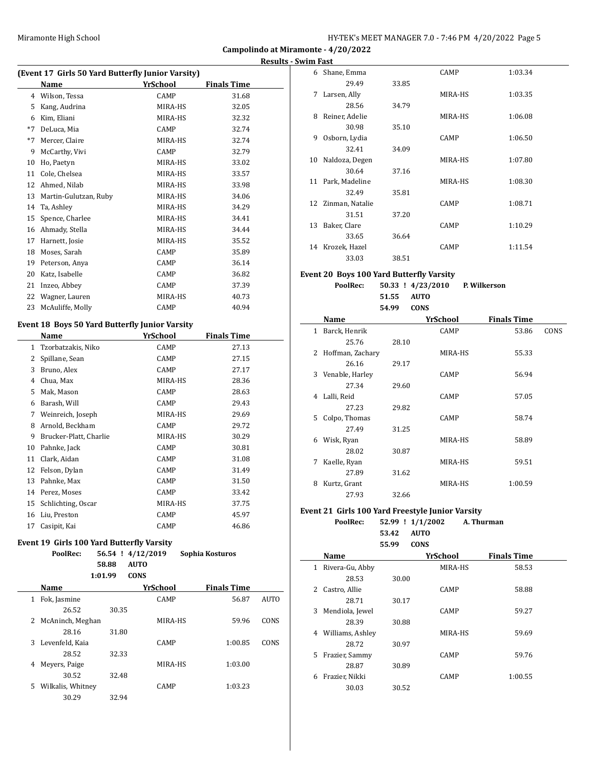**Campolindo at Miramonte - 4/20/2022 Results - Swim Fast**

| (Event 17 Girls 50 Yard Butterfly Junior Varsity) |                       |          |                    |  |
|---------------------------------------------------|-----------------------|----------|--------------------|--|
|                                                   | Name                  | YrSchool | <b>Finals Time</b> |  |
| 4                                                 | Wilson, Tessa         | CAMP     | 31.68              |  |
| 5                                                 | Kang, Audrina         | MIRA-HS  | 32.05              |  |
| 6                                                 | Kim, Eliani           | MIRA-HS  | 32.32              |  |
| $*7$                                              | DeLuca, Mia           | CAMP     | 32.74              |  |
| $*7$                                              | Mercer, Claire        | MIRA-HS  | 32.74              |  |
| 9                                                 | McCarthy, Vivi        | CAMP     | 32.79              |  |
| 10                                                | Ho, Paetyn            | MIRA-HS  | 33.02              |  |
| 11                                                | Cole, Chelsea         | MIRA-HS  | 33.57              |  |
| 12                                                | Ahmed, Nilab          | MIRA-HS  | 33.98              |  |
| 13                                                | Martin-Gulutzan, Ruby | MIRA-HS  | 34.06              |  |
| 14                                                | Ta, Ashley            | MIRA-HS  | 34.29              |  |
| 15                                                | Spence, Charlee       | MIRA-HS  | 34.41              |  |
| 16                                                | Ahmady, Stella        | MIRA-HS  | 34.44              |  |
| 17                                                | Harnett, Josie        | MIRA-HS  | 35.52              |  |
| 18                                                | Moses, Sarah          | CAMP     | 35.89              |  |
| 19                                                | Peterson, Anya        | CAMP     | 36.14              |  |
| 20                                                | Katz, Isabelle        | CAMP     | 36.82              |  |
| 21                                                | Inzeo, Abbey          | CAMP     | 37.39              |  |
| 22                                                | Wagner, Lauren        | MIRA-HS  | 40.73              |  |
| 23                                                | McAuliffe, Molly      | CAMP     | 40.94              |  |

#### **Event 18 Boys 50 Yard Butterfly Junior Varsity**

|    | Name                   | YrSchool | <b>Finals Time</b> |
|----|------------------------|----------|--------------------|
| 1  | Tzorbatzakis, Niko     | CAMP     | 27.13              |
| 2  | Spillane, Sean         | CAMP     | 27.15              |
| 3  | Bruno, Alex            | CAMP     | 27.17              |
| 4  | Chua, Max              | MIRA-HS  | 28.36              |
| 5  | Mak, Mason             | CAMP     | 28.63              |
| 6  | Barash, Will           | CAMP     | 29.43              |
| 7  | Weinreich, Joseph      | MIRA-HS  | 29.69              |
| 8  | Arnold, Beckham        | CAMP     | 29.72              |
| 9  | Brucker-Platt, Charlie | MIRA-HS  | 30.29              |
| 10 | Pahnke, Jack           | CAMP     | 30.81              |
| 11 | Clark, Aidan           | CAMP     | 31.08              |
| 12 | Felson, Dylan          | CAMP     | 31.49              |
| 13 | Pahnke, Max            | CAMP     | 31.50              |
| 14 | Perez, Moses           | CAMP     | 33.42              |
| 15 | Schlichting, Oscar     | MIRA-HS  | 37.75              |
| 16 | Liu, Preston           | CAMP     | 45.97              |
| 17 | Casipit, Kai           | CAMP     | 46.86              |

# **Event 19 Girls 100 Yard Butterfly Varsity**

| oolRec: |       | 56.54 ! 4/12/2019 | Sophia Kosturos |
|---------|-------|-------------------|-----------------|
|         | 58.88 | AUTO              |                 |

#### **1:01.99 CONS**

|   | Name              |       | YrSchool    | <b>Finals Time</b> |             |
|---|-------------------|-------|-------------|--------------------|-------------|
| 1 | Fok, Jasmine      |       | <b>CAMP</b> | 56.87              | <b>AUTO</b> |
|   | 26.52             | 30.35 |             |                    |             |
| 2 | McAninch, Meghan  |       | MIRA-HS     | 59.96              | CONS        |
|   | 28.16             | 31.80 |             |                    |             |
| 3 | Levenfeld, Kaia   |       | <b>CAMP</b> | 1:00.85            | CONS        |
|   | 28.52             | 32.33 |             |                    |             |
| 4 | Meyers, Paige     |       | MIRA-HS     | 1:03.00            |             |
|   | 30.52             | 32.48 |             |                    |             |
| 5 | Wilkalis, Whitney |       | <b>CAMP</b> | 1:03.23            |             |
|   | 30.29             | 32.94 |             |                    |             |

| 6  | Shane, Emma        |       | CAMP        | 1:03.34 |
|----|--------------------|-------|-------------|---------|
|    | 29.49              | 33.85 |             |         |
| 7  | Larsen, Ally       |       | MIRA-HS     | 1:03.35 |
|    | 28.56              | 34.79 |             |         |
| 8  | Reiner, Adelie     |       | MIRA-HS     | 1:06.08 |
|    | 30.98              | 35.10 |             |         |
| 9  | Osborn, Lydia      |       | CAMP        | 1:06.50 |
|    | 32.41              | 34.09 |             |         |
| 10 | Naldoza, Degen     |       | MIRA-HS     | 1:07.80 |
|    | 30.64              | 37.16 |             |         |
| 11 | Park, Madeline     |       | MIRA-HS     | 1:08.30 |
|    | 32.49              | 35.81 |             |         |
|    | 12 Zinman, Natalie |       | <b>CAMP</b> | 1:08.71 |
|    | 31.51              | 37.20 |             |         |
| 13 | Baker, Clare       |       | CAMP        | 1:10.29 |
|    | 33.65              | 36.64 |             |         |
| 14 | Krozek, Hazel      |       | CAMP        | 1:11.54 |
|    | 33.03              | 38.51 |             |         |

#### **Event 20 Boys 100 Yard Butterfly Varsity**

| PoolRec: |            | $50.33$ ! $4/23/2010$ | P. Wilkerson |
|----------|------------|-----------------------|--------------|
|          | 51.55 AUTO |                       |              |
|          | 54.99 CONS |                       |              |

|              | Name               |       | <b>YrSchool</b> | <b>Finals Time</b> |      |
|--------------|--------------------|-------|-----------------|--------------------|------|
| $\mathbf{1}$ | Barck, Henrik      |       | CAMP            | 53.86              | CONS |
|              | 25.76              | 28.10 |                 |                    |      |
|              | 2 Hoffman, Zachary |       | MIRA-HS         | 55.33              |      |
|              | 26.16              | 29.17 |                 |                    |      |
|              | 3 Venable, Harley  |       | CAMP            | 56.94              |      |
|              | 27.34              | 29.60 |                 |                    |      |
|              | 4 Lalli, Reid      |       | CAMP            | 57.05              |      |
|              | 27.23              | 29.82 |                 |                    |      |
| 5            | Colpo, Thomas      |       | CAMP            | 58.74              |      |
|              | 27.49              | 31.25 |                 |                    |      |
|              | 6 Wisk, Ryan       |       | MIRA-HS         | 58.89              |      |
|              | 28.02              | 30.87 |                 |                    |      |
| 7            | Kaelle, Ryan       |       | MIRA-HS         | 59.51              |      |
|              | 27.89              | 31.62 |                 |                    |      |
| 8            | Kurtz, Grant       |       | MIRA-HS         | 1:00.59            |      |
|              | 27.93              | 32.66 |                 |                    |      |

#### **Event 21 Girls 100 Yard Freestyle Junior Varsity**

 $\overline{\phantom{0}}$ 

#### **PoolRec: 52.99 ! 1/1/2002 A. Thurman**

**53.42 AUTO**

**55.99 CONS**

|    | Name             |       | <b>YrSchool</b> | <b>Finals Time</b> |
|----|------------------|-------|-----------------|--------------------|
| 1  | Rivera-Gu, Abby  |       | MIRA-HS         | 58.53              |
|    | 28.53            | 30.00 |                 |                    |
| 2  | Castro, Allie    |       | <b>CAMP</b>     | 58.88              |
|    | 28.71            | 30.17 |                 |                    |
| 3  | Mendiola, Jewel  |       | <b>CAMP</b>     | 59.27              |
|    | 28.39            | 30.88 |                 |                    |
| 4  | Williams, Ashley |       | MIRA-HS         | 59.69              |
|    | 28.72            | 30.97 |                 |                    |
| 5. | Frazier, Sammy   |       | <b>CAMP</b>     | 59.76              |
|    | 28.87            | 30.89 |                 |                    |
| 6  | Frazier, Nikki   |       | <b>CAMP</b>     | 1:00.55            |
|    | 30.03            | 30.52 |                 |                    |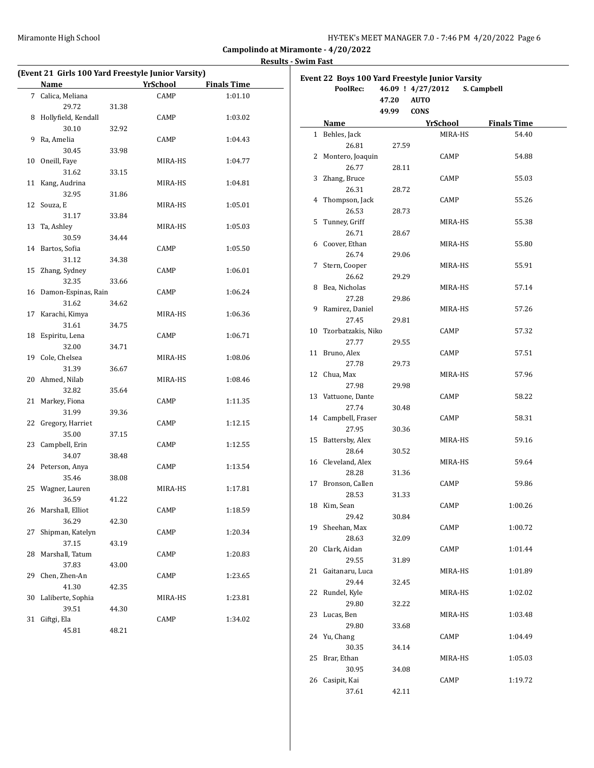**Campolindo at Miramonte - 4/20/2022 Results - Swim Fast**

#### **(Event 21 Girls 100 Yard Freestyle Junior Varsity) Name** *YrSchool* **<b>Finals Time** 7 Calica, Meliana CAMP 1:01.10 29.72 31.38 8 Hollyfield, Kendall CAMP 1:03.02 30.10 32.92 9 Ra, Amelia CAMP 1:04.43 30.45 33.98 10 Oneill, Faye MIRA-HS 1:04.77 31.62 33.15 11 Kang, Audrina MIRA-HS 1:04.81 32.95 31.86 12 Souza, E MIRA-HS 1:05.01 31.17 33.84 13 Ta, Ashley MIRA-HS 1:05.03 30.59 34.44 14 Bartos, Sofia CAMP 1:05.50 31.12 34.38 15 Zhang, Sydney CAMP 1:06.01 32.35 33.66 16 Damon-Espinas, Rain CAMP 1:06.24 31.62 34.62 17 Karachi, Kimya MIRA-HS 1:06.36 31.61 34.75 18 Espiritu, Lena CAMP 1:06.71 32.00 34.71 19 Cole, Chelsea MIRA-HS 1:08.06 31.39 36.67 20 Ahmed, Nilab MIRA-HS 1:08.46 32.82 35.64 21 Markey, Fiona CAMP 1:11.35 31.99 39.36 22 Gregory, Harriet CAMP 1:12.15 35.00 37.15 23 Campbell, Erin CAMP 1:12.55 34.07 38.48 24 Peterson, Anya CAMP 1:13.54 35.46 38.08 25 Wagner, Lauren MIRA-HS 1:17.81 36.59 41.22 26 Marshall, Elliot CAMP 1:18.59 36.29 42.30 27 Shipman, Katelyn CAMP 1:20.34 37.15 43.19 28 Marshall, Tatum CAMP 1:20.83 37.83 43.00 29 Chen, Zhen-An CAMP 1:23.65 41.30 42.35 30 Laliberte, Sophia MIRA-HS 1:23.81 39.51 44.30 31 Giftgi, Ela CAMP 1:34.02 45.81 48.21

|    | Event 22 Boys 100 Yard Freestyle Junior Varsity |                                         |                 |                    |
|----|-------------------------------------------------|-----------------------------------------|-----------------|--------------------|
|    | PoolRec:                                        | 46.09 ! 4/27/2012                       |                 | S. Campbell        |
|    |                                                 | <b>AUTO</b><br>47.20<br><b>CONS</b>     |                 |                    |
|    | Name                                            | 49.99                                   | <u>YrSchool</u> | <b>Finals Time</b> |
|    | 1 Behles, Jack                                  | <u> 1990 - Johann Barbara, martxa a</u> | MIRA-HS         | 54.40              |
|    | 26.81                                           | 27.59                                   |                 |                    |
|    | 2 Montero, Joaquin                              |                                         | CAMP            | 54.88              |
|    | 26.77                                           | 28.11                                   |                 |                    |
|    | 3 Zhang, Bruce                                  |                                         | CAMP            | 55.03              |
|    | 26.31                                           | 28.72                                   |                 |                    |
|    | 4 Thompson, Jack                                |                                         | CAMP            | 55.26              |
|    | 26.53                                           | 28.73                                   |                 |                    |
| 5  | Tunney, Griff                                   |                                         | MIRA-HS         | 55.38              |
|    | 26.71                                           | 28.67                                   |                 |                    |
|    | 6 Coover, Ethan                                 |                                         | MIRA-HS         | 55.80              |
|    | 26.74                                           | 29.06                                   |                 |                    |
| 7  | Stern, Cooper                                   |                                         | MIRA-HS         | 55.91              |
|    | 26.62                                           | 29.29                                   |                 |                    |
|    | 8 Bea, Nicholas                                 |                                         | MIRA-HS         | 57.14              |
|    | 27.28                                           | 29.86                                   |                 |                    |
| 9  | Ramirez, Daniel                                 |                                         | MIRA-HS         | 57.26              |
|    | 27.45                                           | 29.81                                   |                 |                    |
|    | 10 Tzorbatzakis, Niko                           |                                         | CAMP            | 57.32              |
|    | 27.77                                           | 29.55                                   |                 |                    |
|    | 11 Bruno, Alex                                  |                                         | CAMP            | 57.51              |
|    | 27.78                                           | 29.73                                   |                 |                    |
|    | 12 Chua, Max                                    |                                         | MIRA-HS         | 57.96              |
|    | 27.98                                           | 29.98                                   |                 |                    |
|    | 13 Vattuone, Dante                              |                                         | CAMP            | 58.22              |
|    | 27.74                                           | 30.48                                   |                 |                    |
|    | 14 Campbell, Fraser                             |                                         | CAMP            | 58.31              |
|    | 27.95                                           | 30.36                                   |                 |                    |
| 15 | Battersby, Alex                                 |                                         | MIRA-HS         | 59.16              |
|    | 28.64                                           | 30.52                                   |                 |                    |
|    | 16 Cleveland, Alex                              |                                         | MIRA-HS         | 59.64              |
|    | 28.28                                           | 31.36                                   |                 |                    |
|    | 17 Bronson, Callen                              |                                         | CAMP            | 59.86              |
|    | 28.53                                           | 31.33                                   |                 |                    |
|    | 18 Kim, Sean                                    |                                         | CAMP            | 1:00.26            |
|    | 29.42                                           | 30.84                                   |                 |                    |
|    | 19 Sheehan, Max                                 |                                         | CAMP            | 1:00.72            |
|    | 28.63                                           | 32.09                                   |                 |                    |
| 20 | Clark, Aidan                                    |                                         | CAMP            | 1:01.44            |
|    | 29.55                                           | 31.89                                   |                 |                    |
| 21 | Gaitanaru, Luca                                 |                                         | MIRA-HS         | 1:01.89            |
|    | 29.44                                           | 32.45                                   |                 |                    |
| 22 | Rundel, Kyle                                    |                                         | MIRA-HS         | 1:02.02            |
|    | 29.80                                           | 32.22                                   |                 |                    |
| 23 | Lucas, Ben                                      |                                         | MIRA-HS         | 1:03.48            |
|    | 29.80                                           | 33.68                                   |                 |                    |
|    | 24 Yu, Chang                                    |                                         | CAMP            | 1:04.49            |
|    | 30.35                                           | 34.14                                   |                 |                    |
| 25 | Brar, Ethan                                     |                                         | MIRA-HS         | 1:05.03            |
|    | 30.95                                           | 34.08                                   |                 |                    |
|    | 26 Casipit, Kai                                 |                                         | CAMP            | 1:19.72            |
|    | 37.61                                           | 42.11                                   |                 |                    |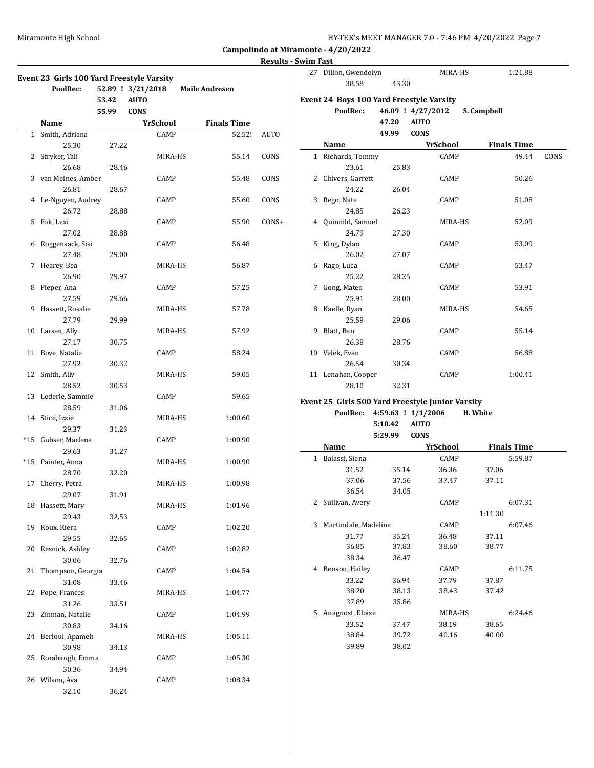| HY-TEK's MEET MANAGER 7.0 - 7:46 PM 4/20/2022 Page 7 |
|------------------------------------------------------|
|------------------------------------------------------|

#### **Results - Swim Fast**

|    | Event 23 Girls 100 Yard Freestyle Varsity<br>PoolRec: | 53.42<br>55.99 | 52.89 ! 3/21/2018<br><b>AUTO</b><br><b>CONS</b> | <b>Maile Andresen</b> |             |
|----|-------------------------------------------------------|----------------|-------------------------------------------------|-----------------------|-------------|
|    | <b>Name</b>                                           |                | <b>YrSchool</b>                                 | <b>Finals Time</b>    |             |
|    | 1 Smith, Adriana                                      |                | CAMP                                            | 52.52!                | <b>AUTO</b> |
|    | 25.30                                                 | 27.22          |                                                 |                       |             |
|    | 2 Stryker, Tali                                       |                | MIRA-HS                                         | 55.14                 | CONS        |
|    | 26.68                                                 | 28.46          |                                                 |                       |             |
|    | 3 van Meines, Amber                                   |                | CAMP                                            | 55.48                 | CONS        |
|    | 26.81                                                 | 28.67          |                                                 |                       |             |
|    | 4 Le-Nguyen, Audrey                                   |                | CAMP                                            | 55.60                 | CONS        |
|    | 26.72                                                 |                |                                                 |                       |             |
|    |                                                       | 28.88          |                                                 |                       |             |
|    | 5 Fok, Lexi                                           |                | CAMP                                            | 55.90                 | CONS+       |
|    | 27.02                                                 | 28.88          |                                                 |                       |             |
| 6  | Roggensack, Sisi                                      |                | CAMP                                            | 56.48                 |             |
|    | 27.48                                                 | 29.00          |                                                 |                       |             |
| 7  | Hearey, Bea                                           |                | MIRA-HS                                         | 56.87                 |             |
|    | 26.90                                                 | 29.97          |                                                 |                       |             |
| 8  | Pieper, Ana                                           |                | CAMP                                            | 57.25                 |             |
|    | 27.59                                                 | 29.66          |                                                 |                       |             |
| 9  | Hassett, Rosalie                                      |                | MIRA-HS                                         | 57.78                 |             |
|    | 27.79                                                 | 29.99          |                                                 |                       |             |
|    | 10 Larsen, Ally                                       |                | MIRA-HS                                         | 57.92                 |             |
|    | 27.17                                                 | 30.75          |                                                 |                       |             |
|    | 11 Bove, Natalie                                      |                | CAMP                                            | 58.24                 |             |
|    | 27.92                                                 | 30.32          |                                                 |                       |             |
|    | 12 Smith, Ally                                        |                | MIRA-HS                                         | 59.05                 |             |
|    | 28.52                                                 | 30.53          |                                                 |                       |             |
|    | 13 Lederle, Sammie                                    |                | CAMP                                            | 59.65                 |             |
|    |                                                       |                |                                                 |                       |             |
|    | 28.59                                                 | 31.06          |                                                 |                       |             |
|    | 14 Stice, Izzie                                       |                | MIRA-HS                                         | 1:00.60               |             |
|    | 29.37                                                 | 31.23          |                                                 |                       |             |
|    | *15 Gubser, Marlena                                   |                | CAMP                                            | 1:00.90               |             |
|    | 29.63                                                 | 31.27          |                                                 |                       |             |
|    | *15 Painter, Anna                                     |                | MIRA-HS                                         | 1:00.90               |             |
|    | 28.70                                                 | 32.20          |                                                 |                       |             |
| 17 | Cherry, Petra                                         |                | MIRA-HS                                         | 1:00.98               |             |
|    | 29.07                                                 | 31.91          |                                                 |                       |             |
| 18 | Hassett, Mary                                         |                | MIRA-HS                                         | 1:01.96               |             |
|    | 29.43                                                 | 32.53          |                                                 |                       |             |
| 19 | Roux, Kiera                                           |                | CAMP                                            | 1:02.20               |             |
|    | 29.55                                                 | 32.65          |                                                 |                       |             |
| 20 | Resnick, Ashley                                       |                | CAMP                                            | 1:02.82               |             |
|    | 30.06                                                 | 32.76          |                                                 |                       |             |
| 21 | Thompson, Georgia                                     |                | CAMP                                            | 1:04.54               |             |
|    | 31.08                                                 | 33.46          |                                                 |                       |             |
| 22 | Pope, Frances                                         |                | MIRA-HS                                         | 1:04.77               |             |
|    | 31.26                                                 | 33.51          |                                                 |                       |             |
| 23 | Zinman, Natalie                                       |                | CAMP                                            | 1:04.99               |             |
|    | 30.83                                                 | 34.16          |                                                 |                       |             |
| 24 | Berloui, Apameh                                       |                | MIRA-HS                                         | 1:05.11               |             |
|    | 30.98                                                 |                |                                                 |                       |             |
|    |                                                       | 34.13          |                                                 |                       |             |
| 25 | Rorabaugh, Emma                                       |                | CAMP                                            | 1:05.30               |             |
|    | 30.36                                                 | 34.94          |                                                 |                       |             |
|    | 26 Wilson, Ava                                        |                | CAMP                                            | 1:08.34               |             |
|    | 32.10                                                 | 36.24          |                                                 |                       |             |

| 27 Dillon, Gwendolyn<br>38.58                               | 43.30          | MIRA-HS                                         | 1:21.88            |      |
|-------------------------------------------------------------|----------------|-------------------------------------------------|--------------------|------|
| <b>Event 24 Boys 100 Yard Freestyle Varsity</b><br>PoolRec: | 47.20<br>49.99 | 46.09 ! 4/27/2012<br><b>AUTO</b><br><b>CONS</b> | S. Campbell        |      |
| Name                                                        |                | YrSchool                                        | <b>Finals Time</b> |      |
| 1 Richards, Tommy                                           |                | CAMP                                            | 49.44              | CONS |
| 23.61                                                       | 25.83          |                                                 |                    |      |
| 2 Chivers, Garrett                                          |                | CAMP                                            | 50.26              |      |
| 24.22                                                       | 26.04          |                                                 |                    |      |
| 3 Rego, Nate                                                |                | CAMP                                            | 51.08              |      |
| 24.85                                                       | 26.23          |                                                 |                    |      |
| 4 Quinnild, Samuel                                          |                | MIRA-HS                                         | 52.09              |      |
| 24.79                                                       | 27.30          |                                                 |                    |      |
| 5 King, Dylan                                               |                | CAMP                                            | 53.09              |      |
| 26.02                                                       | 27.07          |                                                 |                    |      |
| 6 Rago, Luca                                                |                | CAMP                                            | 53.47              |      |
| 25.22                                                       | 28.25          |                                                 |                    |      |
| 7 Gong, Mateo                                               |                | CAMP                                            | 53.91              |      |
| 25.91                                                       | 28.00          |                                                 |                    |      |
| 8 Kaelle, Ryan                                              |                | MIRA-HS                                         | 54.65              |      |
| 25.59                                                       | 29.06          |                                                 |                    |      |
| 9 Blatt, Ben                                                |                | CAMP                                            | 55.14              |      |
| 26.38                                                       | 28.76          |                                                 |                    |      |
| 10 Velek, Evan                                              |                | CAMP                                            | 56.88              |      |
| 26.54                                                       | 30.34          |                                                 |                    |      |
| 11 Lenahan, Cooper                                          |                | CAMP                                            | 1:00.41            |      |
| 28.10                                                       | 32.31          |                                                 |                    |      |

#### **Event 25 Girls 500 Yard Freestyle Junior Varsity PoolRec: 4:59.63 ! 1/1/2006 H. White**

**5:10.42 AUTO**

| 5:29.99<br>CONS |                      |       |          |         |                    |  |
|-----------------|----------------------|-------|----------|---------|--------------------|--|
|                 | Name                 |       | YrSchool |         | <b>Finals Time</b> |  |
| $\mathbf{1}$    | Balassi, Siena       |       | CAMP     |         | 5:59.87            |  |
|                 | 31.52                | 35.14 | 36.36    | 37.06   |                    |  |
|                 | 37.06                | 37.56 | 37.47    | 37.11   |                    |  |
|                 | 36.54                | 34.05 |          |         |                    |  |
| 2               | Sullivan, Avery      |       | CAMP     |         | 6:07.31            |  |
|                 |                      |       |          | 1:11.30 |                    |  |
| 3               | Martindale, Madeline |       | CAMP     |         | 6:07.46            |  |
|                 | 31.77                | 35.24 | 36.48    | 37.11   |                    |  |
|                 | 36.85                | 37.83 | 38.60    | 38.77   |                    |  |
|                 | 38.34                | 36.47 |          |         |                    |  |
| 4               | Benson, Hailey       |       | CAMP     |         | 6:11.75            |  |
|                 | 33.22                | 36.94 | 37.79    | 37.87   |                    |  |
|                 | 38.20                | 38.13 | 38.43    | 37.42   |                    |  |
|                 | 37.89                | 35.86 |          |         |                    |  |
| 5               | Anagnost, Eloise     |       | MIRA-HS  |         | 6:24.46            |  |
|                 | 33.52                | 37.47 | 38.19    | 38.65   |                    |  |
|                 | 38.84                | 39.72 | 40.16    | 40.00   |                    |  |
|                 | 39.89                | 38.02 |          |         |                    |  |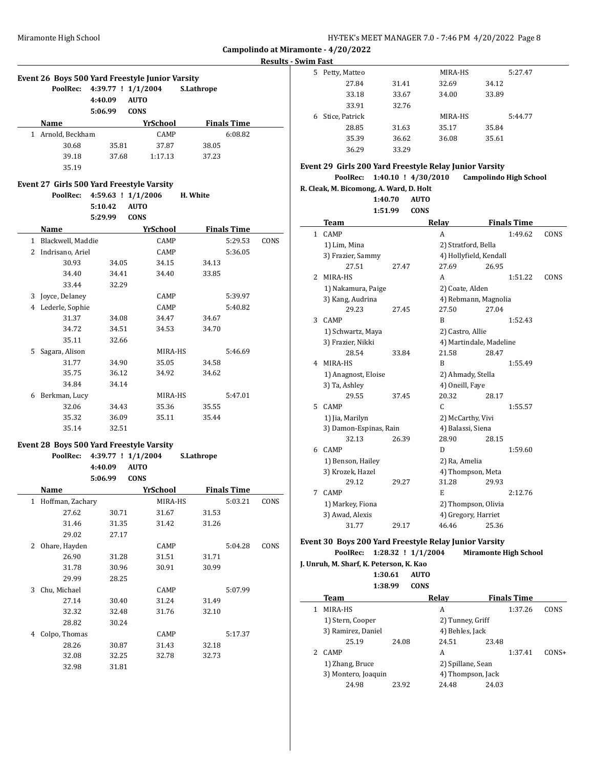**Results - Swim Fast**

| Event 26 Boys 500 Yard Freestyle Junior Varsity<br>$4:39.77$ ! $1/1/2004$<br>PoolRec: |       |             |       |                    |
|---------------------------------------------------------------------------------------|-------|-------------|-------|--------------------|
| Name                                                                                  |       | YrSchool    |       | <b>Finals Time</b> |
| Arnold, Beckham                                                                       |       | <b>CAMP</b> |       | 6:08.82            |
| 30.68                                                                                 | 35.81 | 37.87       | 38.05 |                    |
| 39.18                                                                                 | 37.68 | 1:17.13     | 37.23 |                    |
| 35.19                                                                                 |       |             |       |                    |

#### **Event 27 Girls 500 Yard Freestyle Varsity**

|   | PoolRec:          | $4:59.63$ ! $1/1/2006$ |             | H. White |                    |      |
|---|-------------------|------------------------|-------------|----------|--------------------|------|
|   |                   | 5:10.42                | <b>AUTO</b> |          |                    |      |
|   |                   | 5:29.99                | <b>CONS</b> |          |                    |      |
|   | Name              |                        | YrSchool    |          | <b>Finals Time</b> |      |
| 1 | Blackwell, Maddie |                        | CAMP        |          | 5:29.53            | CONS |
| 2 | Indrisano, Ariel  |                        | CAMP        |          | 5:36.05            |      |
|   | 30.93             | 34.05                  | 34.15       | 34.13    |                    |      |
|   | 34.40             | 34.41                  | 34.40       | 33.85    |                    |      |
|   | 33.44             | 32.29                  |             |          |                    |      |
| 3 | Joyce, Delaney    |                        | CAMP        |          | 5:39.97            |      |
| 4 | Lederle, Sophie   |                        | CAMP        |          | 5:40.82            |      |
|   | 31.37             | 34.08                  | 34.47       | 34.67    |                    |      |
|   | 34.72             | 34.51                  | 34.53       | 34.70    |                    |      |
|   | 35.11             | 32.66                  |             |          |                    |      |
| 5 | Sagara, Alison    |                        | MIRA-HS     |          | 5:46.69            |      |
|   | 31.77             | 34.90                  | 35.05       | 34.58    |                    |      |
|   | 35.75             | 36.12                  | 34.92       | 34.62    |                    |      |
|   | 34.84             | 34.14                  |             |          |                    |      |
| 6 | Berkman, Lucy     |                        | MIRA-HS     |          | 5:47.01            |      |
|   | 32.06             | 34.43                  | 35.36       | 35.55    |                    |      |
|   | 35.32             | 36.09                  | 35.11       | 35.44    |                    |      |
|   | 35.14             | 32.51                  |             |          |                    |      |

#### **Event 28 Boys 500 Yard Freestyle Varsity**

|   | PoolRec:         | 4:39.77 ! 1/1/2004 |             | S.Lathrope         |      |
|---|------------------|--------------------|-------------|--------------------|------|
|   |                  | 4:40.09            | <b>AUTO</b> |                    |      |
|   |                  | 5:06.99            | <b>CONS</b> |                    |      |
|   | Name             |                    | YrSchool    | <b>Finals Time</b> |      |
| 1 | Hoffman, Zachary |                    | MIRA-HS     | 5:03.21            | CONS |
|   | 27.62            | 30.71              | 31.67       | 31.53              |      |
|   | 31.46            | 31.35              | 31.42       | 31.26              |      |
|   | 29.02            | 27.17              |             |                    |      |
| 2 | Ohare, Hayden    |                    | CAMP        | 5:04.28            | CONS |
|   | 26.90            | 31.28              | 31.51       | 31.71              |      |
|   | 31.78            | 30.96              | 30.91       | 30.99              |      |
|   | 29.99            | 28.25              |             |                    |      |
| 3 | Chu, Michael     |                    | CAMP        | 5:07.99            |      |
|   | 27.14            | 30.40              | 31.24       | 31.49              |      |
|   | 32.32            | 32.48              | 31.76       | 32.10              |      |
|   | 28.82            | 30.24              |             |                    |      |
| 4 | Colpo, Thomas    |                    | <b>CAMP</b> | 5:17.37            |      |
|   | 28.26            | 30.87              | 31.43       | 32.18              |      |
|   | 32.08            | 32.25              | 32.78       | 32.73              |      |
|   | 32.98            | 31.81              |             |                    |      |
|   |                  |                    |             |                    |      |

| 5. | Petty, Matteo  |       | MIRA-HS | 5:27.47 |
|----|----------------|-------|---------|---------|
|    | 27.84          | 31.41 | 32.69   | 34.12   |
|    | 33.18          | 33.67 | 34.00   | 33.89   |
|    | 33.91          | 32.76 |         |         |
| 6  | Stice, Patrick |       | MIRA-HS | 5:44.77 |
|    | 28.85          | 31.63 | 35.17   | 35.84   |
|    | 35.39          | 36.62 | 36.08   | 35.61   |
|    | 36.29          | 33.29 |         |         |

## **Event 29 Girls 200 Yard Freestyle Relay Junior Varsity**

#### **PoolRec: 1:40.10 ! 4/30/2010 Campolindo High School**

**R. Cleak, M. Bicomong, A. Ward, D. Holt 1:40.70 AUTO 1:51.99 CONS**

|   | Team                   |       | Relay               | <b>Finals Time</b>      |      |  |
|---|------------------------|-------|---------------------|-------------------------|------|--|
|   | 1 CAMP                 |       | A                   | 1:49.62                 | CONS |  |
|   | 1) Lim, Mina           |       | 2) Stratford, Bella |                         |      |  |
|   | 3) Frazier, Sammy      |       |                     | 4) Hollyfield, Kendall  |      |  |
|   | 27.51                  | 27.47 | 27.69               | 26.95                   |      |  |
| 2 | MIRA-HS                |       | A                   | 1:51.22                 | CONS |  |
|   | 1) Nakamura, Paige     |       | 2) Coate, Alden     |                         |      |  |
|   | 3) Kang, Audrina       |       |                     | 4) Rebmann, Magnolia    |      |  |
|   | 29.23                  | 27.45 | 27.50               | 27.04                   |      |  |
| 3 | <b>CAMP</b>            |       | B                   | 1:52.43                 |      |  |
|   | 1) Schwartz, Maya      |       | 2) Castro, Allie    |                         |      |  |
|   | 3) Frazier, Nikki      |       |                     | 4) Martindale, Madeline |      |  |
|   | 28.54                  | 33.84 | 21.58               | 28.47                   |      |  |
| 4 | MIRA-HS                |       | B                   | 1:55.49                 |      |  |
|   | 1) Anagnost, Eloise    |       | 2) Ahmady, Stella   |                         |      |  |
|   | 3) Ta, Ashley          |       | 4) Oneill, Faye     |                         |      |  |
|   | 29.55                  | 37.45 | 20.32               | 28.17                   |      |  |
| 5 | CAMP                   |       | $\mathsf{C}$        | 1:55.57                 |      |  |
|   | 1) Jia, Marilyn        |       | 2) McCarthy, Vivi   |                         |      |  |
|   | 3) Damon-Espinas, Rain |       | 4) Balassi, Siena   |                         |      |  |
|   | 32.13                  | 26.39 | 28.90               | 28.15                   |      |  |
| 6 | CAMP                   |       | D                   | 1:59.60                 |      |  |
|   | 1) Benson, Hailey      |       | 2) Ra, Amelia       |                         |      |  |
|   | 3) Krozek, Hazel       |       |                     | 4) Thompson, Meta       |      |  |
|   | 29.12                  | 29.27 | 31.28               | 29.93                   |      |  |
| 7 | CAMP                   |       | E                   | 2:12.76                 |      |  |
|   | 1) Markey, Fiona       |       |                     | 2) Thompson, Olivia     |      |  |
|   | 3) Awad, Alexis        |       |                     | 4) Gregory, Harriet     |      |  |
|   | 31.77                  | 29.17 | 46.46               | 25.36                   |      |  |

#### **Event 30 Boys 200 Yard Freestyle Relay Junior Varsity PoolRec: 1:28.32 ! 1/1/2004 Miramonte High School**

**J. Unruh, M. Sharf, K. Peterson, K. Kao**

| 1:30.61 | <b>AUTO</b> |
|---------|-------------|

 $\overline{a}$ 

|   | 1:38.99             | CONS  |                   |       |                    |         |
|---|---------------------|-------|-------------------|-------|--------------------|---------|
|   | <b>Team</b>         |       | Relay             |       | <b>Finals Time</b> |         |
|   | MIRA-HS             |       | A                 |       | 1:37.26            | CONS    |
|   | 1) Stern, Cooper    |       | 2) Tunney, Griff  |       |                    |         |
|   | 3) Ramirez, Daniel  |       | 4) Behles, Jack   |       |                    |         |
|   | 25.19               | 24.08 | 24.51             | 23.48 |                    |         |
| 2 | <b>CAMP</b>         |       | А                 |       | 1:37.41            | $CONS+$ |
|   | 1) Zhang, Bruce     |       | 2) Spillane, Sean |       |                    |         |
|   | 3) Montero, Joaquin |       | 4) Thompson, Jack |       |                    |         |
|   | 24.98               | 23.92 | 24.48             | 24.03 |                    |         |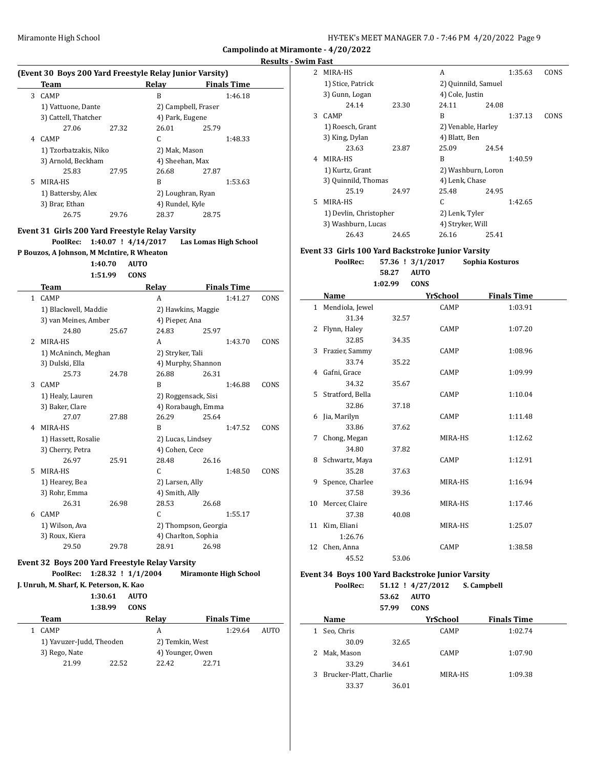#### **Swim Fa**

|   | Team                                            |         | Relay Relay             |                              | <b>Finals Time</b> |      |
|---|-------------------------------------------------|---------|-------------------------|------------------------------|--------------------|------|
| 3 | CAMP                                            |         | B                       |                              | 1:46.18            |      |
|   | 1) Vattuone, Dante                              |         |                         | 2) Campbell, Fraser          |                    |      |
|   | 3) Cattell, Thatcher                            |         |                         | 4) Park, Eugene              |                    |      |
|   | 27.06                                           | 27.32   | 26.01                   | 25.79                        |                    |      |
| 4 | CAMP                                            |         | C                       |                              | 1:48.33            |      |
|   | 1) Tzorbatzakis, Niko                           |         |                         | 2) Mak, Mason                |                    |      |
|   | 3) Arnold, Beckham                              |         |                         | 4) Sheehan, Max              |                    |      |
|   | 25.83                                           | 27.95   |                         |                              |                    |      |
| 5 |                                                 |         | 26.68<br>B              | 27.87                        |                    |      |
|   | MIRA-HS                                         |         |                         |                              | 1:53.63            |      |
|   | 1) Battersby, Alex                              |         |                         | 2) Loughran, Ryan            |                    |      |
|   | 3) Brar, Ethan                                  |         |                         | 4) Rundel, Kyle              |                    |      |
|   | 26.75                                           | 29.76   | 28.37                   | 28.75                        |                    |      |
|   | Event 31 Girls 200 Yard Freestyle Relay Varsity |         |                         |                              |                    |      |
|   | PoolRec:                                        |         | $1:40.07$ ! $4/14/2017$ | Las Lomas High School        |                    |      |
|   | P Bouzos, A Johnson, M McIntire, R Wheaton      |         |                         |                              |                    |      |
|   |                                                 | 1:40.70 | <b>AUTO</b>             |                              |                    |      |
|   |                                                 | 1:51.99 | <b>CONS</b>             |                              |                    |      |
|   | Team                                            |         | Relay                   |                              | <b>Finals Time</b> |      |
| 1 | CAMP                                            |         | A                       |                              | 1:41.27            | CONS |
|   |                                                 |         |                         |                              |                    |      |
|   | 1) Blackwell, Maddie<br>3) van Meines, Amber    |         |                         | 2) Hawkins, Maggie           |                    |      |
|   |                                                 |         |                         | 4) Pieper, Ana               |                    |      |
|   | 24.80                                           | 25.67   | 24.83                   | 25.97                        |                    |      |
| 2 | MIRA-HS                                         |         | A                       |                              | 1:43.70            | CONS |
|   | 1) McAninch, Meghan                             |         |                         | 2) Stryker, Tali             |                    |      |
|   | 3) Dulski, Ella                                 |         |                         | 4) Murphy, Shannon           |                    |      |
|   | 25.73                                           | 24.78   | 26.88                   | 26.31                        |                    |      |
| 3 | CAMP                                            |         | B                       |                              | 1:46.88            | CONS |
|   | 1) Healy, Lauren                                |         |                         | 2) Roggensack, Sisi          |                    |      |
|   | 3) Baker, Clare                                 |         |                         | 4) Rorabaugh, Emma           |                    |      |
|   | 27.07                                           | 27.88   | 26.29                   | 25.64                        |                    |      |
|   | 4 MIRA-HS                                       |         | B                       |                              | 1:47.52            | CONS |
|   | 1) Hassett, Rosalie                             |         |                         | 2) Lucas, Lindsey            |                    |      |
|   | 3) Cherry, Petra                                |         |                         | 4) Cohen, Cece               |                    |      |
|   | 26.97                                           | 25.91   | 28.48                   | 26.16                        |                    |      |
| 5 | MIRA-HS                                         |         | C.                      |                              | 1:48.50            | CONS |
|   | 1) Hearey, Bea                                  |         |                         | 2) Larsen, Ally              |                    |      |
|   | 3) Rohr, Emma                                   |         |                         | 4) Smith, Ally               |                    |      |
|   | 26.31                                           | 26.98   | 28.53                   | 26.68                        |                    |      |
| 6 | CAMP                                            |         | C                       |                              | 1:55.17            |      |
|   | 1) Wilson, Ava                                  |         |                         | 2) Thompson, Georgia         |                    |      |
|   | 3) Roux, Kiera                                  |         |                         | 4) Charlton, Sophia          |                    |      |
|   | 29.50                                           | 29.78   | 28.91                   | 26.98                        |                    |      |
|   |                                                 |         |                         |                              |                    |      |
|   | Event 32 Boys 200 Yard Freestyle Relay Varsity  |         |                         |                              |                    |      |
|   | PoolRec:                                        |         | $1:28.32$ ! $1/1/2004$  | <b>Miramonte High School</b> |                    |      |
|   | J. Unruh, M. Sharf, K. Peterson, K. Kao         |         |                         |                              |                    |      |
|   |                                                 | 1:30.61 | <b>AUTO</b>             |                              |                    |      |
|   |                                                 | 1:38.99 | <b>CONS</b>             |                              |                    |      |
|   | <b>Team</b>                                     |         | Relay                   |                              | <b>Finals Time</b> |      |
| 1 | CAMP                                            |         | A                       |                              | 1:29.64            | AUTO |
|   | 1) Yavuzer-Judd, Theoden                        |         |                         | 2) Temkin, West              |                    |      |
|   | 3) Rego, Nate                                   |         |                         | 4) Younger, Owen             |                    |      |
|   |                                                 |         |                         |                              |                    |      |
|   | 21.99                                           | 22.52   | 22.42                   | 22.71                        |                    |      |

|    | n Fast                 |       |                     |       |         |      |
|----|------------------------|-------|---------------------|-------|---------|------|
| 2  | MIRA-HS                |       | A                   |       | 1:35.63 | CONS |
|    | 1) Stice, Patrick      |       | 2) Quinnild, Samuel |       |         |      |
|    | 3) Gunn, Logan         |       | 4) Cole, Justin     |       |         |      |
|    | 24.14                  | 23.30 | 24.11               | 24.08 |         |      |
| 3  | <b>CAMP</b>            |       | R                   |       | 1:37.13 | CONS |
|    | 1) Roesch, Grant       |       | 2) Venable, Harley  |       |         |      |
|    | 3) King, Dylan         |       | 4) Blatt, Ben       |       |         |      |
|    | 23.63                  | 23.87 | 25.09               | 24.54 |         |      |
| 4  | MIRA-HS                |       | B                   |       | 1:40.59 |      |
|    | 1) Kurtz, Grant        |       | 2) Washburn, Loron  |       |         |      |
|    | 3) Quinnild, Thomas    |       | 4) Lenk, Chase      |       |         |      |
|    | 25.19                  | 24.97 | 25.48               | 24.95 |         |      |
| 5. | MIRA-HS                |       | C                   |       | 1:42.65 |      |
|    | 1) Devlin, Christopher |       | 2) Lenk, Tyler      |       |         |      |
|    | 3) Washburn, Lucas     |       | 4) Stryker, Will    |       |         |      |
|    | 26.43                  | 24.65 | 26.16               | 25.41 |         |      |
|    |                        |       |                     |       |         |      |

## **Event 33 Girls 100 Yard Backstroke Junior Varsity**

| PoolRec: |       | 57.36 ! 3/1/2017 | Sophia Kosturos |
|----------|-------|------------------|-----------------|
|          | 58.27 | AUTO             |                 |

**1:02.99 CONS**

|   | Name               |       | YrSchool    | <b>Finals Time</b> |
|---|--------------------|-------|-------------|--------------------|
|   | 1 Mendiola, Jewel  |       | CAMP        | 1:03.91            |
|   | 31.34              | 32.57 |             |                    |
|   | 2 Flynn, Haley     |       | CAMP        | 1:07.20            |
|   | 32.85              | 34.35 |             |                    |
|   | 3 Frazier, Sammy   |       | CAMP        | 1:08.96            |
|   | 33.74              | 35.22 |             |                    |
|   | 4 Gafni, Grace     |       | CAMP        | 1:09.99            |
|   | 34.32              | 35.67 |             |                    |
|   | 5 Stratford, Bella |       | CAMP        | 1:10.04            |
|   | 32.86              | 37.18 |             |                    |
| 6 | Jia, Marilyn       |       | CAMP        | 1:11.48            |
|   | 33.86              | 37.62 |             |                    |
| 7 | Chong, Megan       |       | MIRA-HS     | 1:12.62            |
|   | 34.80              | 37.82 |             |                    |
|   | 8 Schwartz, Maya   |       | CAMP        | 1:12.91            |
|   | 35.28              | 37.63 |             |                    |
|   | 9 Spence, Charlee  |       | MIRA-HS     | 1:16.94            |
|   | 37.58              | 39.36 |             |                    |
|   | 10 Mercer, Claire  |       | MIRA-HS     | 1:17.46            |
|   | 37.38              | 40.08 |             |                    |
|   | 11 Kim, Eliani     |       | MIRA-HS     | 1:25.07            |
|   | 1:26.76            |       |             |                    |
|   | 12 Chen, Anna      |       | <b>CAMP</b> | 1:38.58            |
|   | 45.52              | 53.06 |             |                    |

#### **Event 34 Boys 100 Yard Backstroke Junior Varsity**

**PoolRec: 51.12 ! 4/27/2012 S. Campbell 53.62 AUTO 57.99 CONS**

| Name                     |       | YrSchool | <b>Finals Time</b> |  |  |
|--------------------------|-------|----------|--------------------|--|--|
| Seo, Chris               |       | CAMP     | 1:02.74            |  |  |
| 30.09                    | 32.65 |          |                    |  |  |
| 2 Mak, Mason             |       | CAMP     | 1:07.90            |  |  |
| 33.29                    | 34.61 |          |                    |  |  |
| 3 Brucker-Platt, Charlie |       | MIRA-HS  | 1:09.38            |  |  |
| 33.37                    | 36.01 |          |                    |  |  |
|                          |       |          |                    |  |  |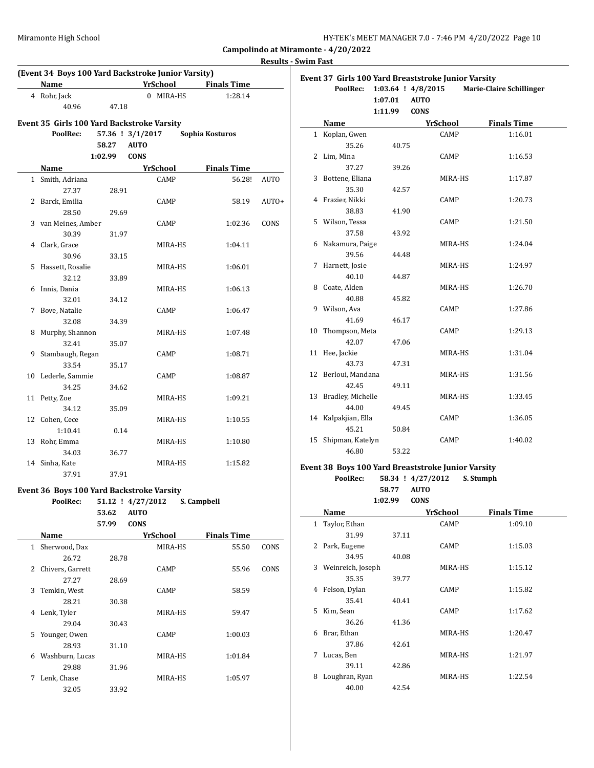| HY-TEK's MEET MANAGER 7.0 - 7:46 PM 4/20/2022 Page 10 |  |  |  |
|-------------------------------------------------------|--|--|--|
|-------------------------------------------------------|--|--|--|

**Results - Swim Fast**

 $\overline{\phantom{a}}$ 

 $\overline{\phantom{a}}$ 

|              |                                                    |                   |             |                 |                    | ncəuna |
|--------------|----------------------------------------------------|-------------------|-------------|-----------------|--------------------|--------|
|              | (Event 34 Boys 100 Yard Backstroke Junior Varsity) |                   |             | YrSchool        | <b>Finals Time</b> |        |
|              | Name                                               |                   |             |                 |                    |        |
|              | 4 Rohr, Jack                                       |                   |             | 0 MIRA-HS       | 1:28.14            |        |
|              | 40.96                                              | 47.18             |             |                 |                    |        |
|              | Event 35 Girls 100 Yard Backstroke Varsity         |                   |             |                 |                    |        |
|              | PoolRec:                                           | 57.36 ! 3/1/2017  |             |                 | Sophia Kosturos    |        |
|              |                                                    | 58.27             | <b>AUTO</b> |                 |                    |        |
|              |                                                    | 1:02.99           | <b>CONS</b> |                 |                    |        |
|              | Name                                               |                   |             | <u>YrSchool</u> | <b>Finals Time</b> |        |
|              | 1 Smith, Adriana                                   |                   |             | CAMP            | 56.28!             | AUTO   |
|              | 27.37                                              | 28.91             |             |                 |                    |        |
|              | 2 Barck, Emilia                                    |                   |             | CAMP            | 58.19              | AUTO+  |
|              | 28.50                                              | 29.69             |             |                 |                    |        |
|              | 3 van Meines, Amber                                |                   |             | CAMP            | 1:02.36            | CONS   |
|              | 30.39                                              | 31.97             |             |                 |                    |        |
|              | 4 Clark, Grace                                     |                   |             | MIRA-HS         | 1:04.11            |        |
|              | 30.96                                              | 33.15             |             |                 |                    |        |
|              | 5 Hassett, Rosalie                                 |                   |             | MIRA-HS         | 1:06.01            |        |
|              | 32.12                                              | 33.89             |             |                 |                    |        |
| 6            | Innis, Dania                                       |                   |             | MIRA-HS         | 1:06.13            |        |
|              | 32.01                                              | 34.12             |             |                 |                    |        |
|              | 7 Bove, Natalie                                    |                   |             | CAMP            | 1:06.47            |        |
|              | 32.08                                              | 34.39             |             |                 |                    |        |
| 8            | Murphy, Shannon                                    |                   |             | MIRA-HS         | 1:07.48            |        |
|              | 32.41                                              | 35.07             |             |                 |                    |        |
| 9            | Stambaugh, Regan                                   |                   |             | CAMP            | 1:08.71            |        |
|              | 33.54                                              | 35.17             |             |                 |                    |        |
|              | 10 Lederle, Sammie                                 |                   |             | CAMP            | 1:08.87            |        |
|              | 34.25                                              | 34.62             |             |                 |                    |        |
|              | 11 Petty, Zoe                                      |                   |             | MIRA-HS         | 1:09.21            |        |
|              | 34.12                                              | 35.09             |             |                 |                    |        |
| 12           | Cohen, Cece                                        |                   |             | MIRA-HS         | 1:10.55            |        |
|              | 1:10.41                                            | 0.14              |             |                 |                    |        |
| 13           | Rohr, Emma                                         |                   |             | MIRA-HS         | 1:10.80            |        |
|              | 34.03                                              | 36.77             |             |                 |                    |        |
|              | 14 Sinha, Kate                                     |                   |             | MIRA-HS         | 1:15.82            |        |
|              | 37.91                                              | 37.91             |             |                 |                    |        |
|              |                                                    |                   |             |                 |                    |        |
|              | Event 36 Boys 100 Yard Backstroke Varsity          |                   |             |                 | S. Campbell        |        |
|              | PoolRec:                                           | 51.12 ! 4/27/2012 |             |                 |                    |        |
|              |                                                    | 53.62             | <b>AUTO</b> |                 |                    |        |
|              |                                                    | 57.99             | <b>CONS</b> |                 |                    |        |
|              | Name                                               |                   |             | YrSchool        | <b>Finals Time</b> |        |
| $\mathbf{1}$ | Sherwood, Dax                                      |                   |             | MIRA-HS         | 55.50              | CONS   |
|              | 26.72                                              | 28.78             |             |                 |                    |        |
|              | 2 Chivers, Garrett                                 |                   |             | CAMP            | 55.96              | CONS   |
|              | 27.27                                              | 28.69             |             |                 |                    |        |
| 3            | Temkin, West                                       |                   |             | CAMP            | 58.59              |        |
|              | 28.21                                              | 30.38             |             |                 |                    |        |
| 4            | Lenk, Tyler                                        |                   |             | MIRA-HS         | 59.47              |        |
|              | 29.04                                              | 30.43             |             |                 |                    |        |
| 5            | Younger, Owen                                      |                   |             | CAMP            | 1:00.03            |        |
|              | 28.93                                              | 31.10             |             |                 |                    |        |

6 Washburn, Lucas MIRA-HS 1:01.84

7 Lenk, Chase MIRA-HS 1:05.97

29.88 31.96

32.05 33.92

| Event 37 Girls 100 Yard Breaststroke Junior Varsity |                     |         |                        |                                 |  |  |  |
|-----------------------------------------------------|---------------------|---------|------------------------|---------------------------------|--|--|--|
|                                                     | PoolRec:            |         | $1:03.64$ ! $4/8/2015$ | <b>Marie-Claire Schillinger</b> |  |  |  |
|                                                     |                     | 1:07.01 | <b>AUTO</b>            |                                 |  |  |  |
|                                                     |                     | 1:11.99 | <b>CONS</b>            |                                 |  |  |  |
|                                                     | Name                |         | YrSchool               | <b>Finals Time</b>              |  |  |  |
|                                                     | 1 Koplan, Gwen      |         | CAMP                   | 1:16.01                         |  |  |  |
|                                                     | 35.26               | 40.75   |                        |                                 |  |  |  |
|                                                     | 2 Lim, Mina         |         | CAMP                   | 1:16.53                         |  |  |  |
|                                                     | 37.27               | 39.26   |                        |                                 |  |  |  |
|                                                     | 3 Bottene, Eliana   |         | MIRA-HS                | 1:17.87                         |  |  |  |
|                                                     | 35.30               | 42.57   |                        |                                 |  |  |  |
|                                                     | 4 Frazier, Nikki    |         | CAMP                   | 1:20.73                         |  |  |  |
|                                                     | 38.83               | 41.90   |                        |                                 |  |  |  |
|                                                     | 5 Wilson, Tessa     |         | CAMP                   | 1:21.50                         |  |  |  |
|                                                     | 37.58               | 43.92   |                        |                                 |  |  |  |
| 6                                                   | Nakamura, Paige     |         | MIRA-HS                | 1:24.04                         |  |  |  |
|                                                     | 39.56               | 44.48   |                        |                                 |  |  |  |
| 7                                                   | Harnett, Josie      |         | MIRA-HS                | 1:24.97                         |  |  |  |
|                                                     | 40.10               | 44.87   |                        |                                 |  |  |  |
|                                                     | 8 Coate, Alden      |         | MIRA-HS                | 1:26.70                         |  |  |  |
|                                                     | 40.88               | 45.82   |                        |                                 |  |  |  |
| 9                                                   | Wilson, Ava         |         | CAMP                   | 1:27.86                         |  |  |  |
|                                                     | 41.69               | 46.17   |                        |                                 |  |  |  |
| 10                                                  | Thompson, Meta      |         | CAMP                   | 1:29.13                         |  |  |  |
|                                                     | 42.07               | 47.06   |                        |                                 |  |  |  |
|                                                     | 11 Hee, Jackie      |         | MIRA-HS                | 1:31.04                         |  |  |  |
|                                                     | 43.73               | 47.31   |                        |                                 |  |  |  |
| 12                                                  | Berloui, Mandana    |         | MIRA-HS                | 1:31.56                         |  |  |  |
|                                                     | 42.45               | 49.11   |                        |                                 |  |  |  |
| 13                                                  | Bradley, Michelle   |         | MIRA-HS                | 1:33.45                         |  |  |  |
|                                                     | 44.00               | 49.45   |                        |                                 |  |  |  |
|                                                     | 14 Kalpakjian, Ella |         | CAMP                   | 1:36.05                         |  |  |  |
|                                                     | 45.21               | 50.84   |                        |                                 |  |  |  |
| 15                                                  | Shipman, Katelyn    |         | CAMP                   | 1:40.02                         |  |  |  |
|                                                     | 46.80               | 53.22   |                        |                                 |  |  |  |

## **Event 38 Boys 100 Yard Breaststroke Junior Varsity**

**PoolRec: 58.34 ! 4/27/2012 S. Stumph 58.77 AUTO**

**1:02.99 CONS**

|              | Name              |       | YrSchool    | <b>Finals Time</b> |
|--------------|-------------------|-------|-------------|--------------------|
| $\mathbf{1}$ | Taylor, Ethan     |       | CAMP        | 1:09.10            |
|              | 31.99             | 37.11 |             |                    |
| 2            | Park, Eugene      |       | CAMP        | 1:15.03            |
|              | 34.95             | 40.08 |             |                    |
| 3            | Weinreich, Joseph |       | MIRA-HS     | 1:15.12            |
|              | 35.35             | 39.77 |             |                    |
| 4            | Felson, Dylan     |       | <b>CAMP</b> | 1:15.82            |
|              | 35.41             | 40.41 |             |                    |
| 5.           | Kim, Sean         |       | CAMP        | 1:17.62            |
|              | 36.26             | 41.36 |             |                    |
| 6            | Brar, Ethan       |       | MIRA-HS     | 1:20.47            |
|              | 37.86             | 42.61 |             |                    |
| 7            | Lucas, Ben        |       | MIRA-HS     | 1:21.97            |
|              | 39.11             | 42.86 |             |                    |
| 8            | Loughran, Ryan    |       | MIRA-HS     | 1:22.54            |
|              | 40.00             | 42.54 |             |                    |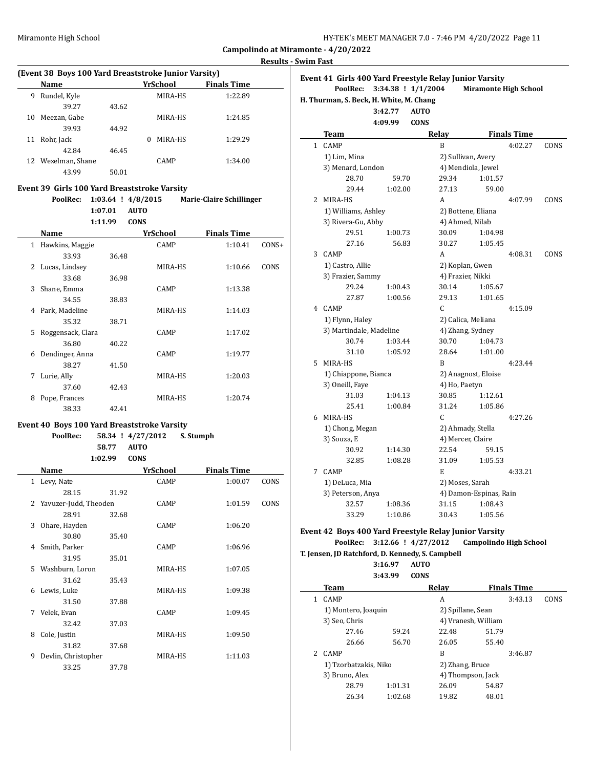| HY-TEK's MEET MANAGER 7.0 - 7:46 PM 4/20/2022 Page 11 |  |
|-------------------------------------------------------|--|
|-------------------------------------------------------|--|

**Results - Swim Fast**

 $\overline{\phantom{a}}$ 

| (Event 38 Boys 100 Yard Breaststroke Junior Varsity) |                    |       |          |             |                    |  |  |  |
|------------------------------------------------------|--------------------|-------|----------|-------------|--------------------|--|--|--|
|                                                      | <b>Name</b>        |       | YrSchool |             | <b>Finals Time</b> |  |  |  |
| 9                                                    | Rundel, Kyle       |       |          | MIRA-HS     | 1:22.89            |  |  |  |
|                                                      | 39.27              | 43.62 |          |             |                    |  |  |  |
| 10                                                   | Meezan, Gabe       |       |          | MIRA-HS     | 1:24.85            |  |  |  |
|                                                      | 39.93              | 44.92 |          |             |                    |  |  |  |
| 11                                                   | Rohr, Jack         |       | $\Omega$ | MIRA-HS     | 1:29.29            |  |  |  |
|                                                      | 42.84              | 46.45 |          |             |                    |  |  |  |
|                                                      | 12 Wexelman, Shane |       |          | <b>CAMP</b> | 1:34.00            |  |  |  |
|                                                      | 43.99              | 50.01 |          |             |                    |  |  |  |

## **Event 39 Girls 100 Yard Breaststroke Varsity**

|   | PoolRec:          |         | $1:03.64$ ! $4/8/2015$  | <b>Marie-Claire Schillinger</b> |         |
|---|-------------------|---------|-------------------------|---------------------------------|---------|
|   |                   | 1:07.01 | <b>AUTO</b>             |                                 |         |
|   | Name              | 1:11.99 | <b>CONS</b><br>YrSchool | <b>Finals Time</b>              |         |
|   |                   |         |                         |                                 |         |
| 1 | Hawkins, Maggie   |         | CAMP                    | 1:10.41                         | $CONS+$ |
|   | 33.93             | 36.48   |                         |                                 |         |
| 2 | Lucas, Lindsey    |         | MIRA-HS                 | 1:10.66                         | CONS    |
|   | 33.68             | 36.98   |                         |                                 |         |
| 3 | Shane, Emma       |         | CAMP                    | 1:13.38                         |         |
|   | 34.55             | 38.83   |                         |                                 |         |
| 4 | Park, Madeline    |         | MIRA-HS                 | 1:14.03                         |         |
|   | 35.32             | 38.71   |                         |                                 |         |
| 5 | Roggensack, Clara |         | CAMP                    | 1:17.02                         |         |
|   | 36.80             | 40.22   |                         |                                 |         |
| 6 | Dendinger, Anna   |         | CAMP                    | 1:19.77                         |         |
|   | 38.27             | 41.50   |                         |                                 |         |
| 7 | Lurie, Ally       |         | MIRA-HS                 | 1:20.03                         |         |
|   | 37.60             | 42.43   |                         |                                 |         |
| 8 | Pope, Frances     |         | MIRA-HS                 | 1:20.74                         |         |
|   | 38.33             | 42.41   |                         |                                 |         |

#### **Event 40 Boys 100 Yard Breaststroke Varsity**

**PoolRec: 58.34 ! 4/27/2012 S. Stumph 58.77 AUTO 1:02.99 CONS Name** *YrSchool* **<b>Finals Time**<br>Levy Nate CAMP 1.00.07

|   | 1 Levy, Nate            |       | CAMP    | 1:00.07 | CONS |
|---|-------------------------|-------|---------|---------|------|
|   | 28.15                   | 31.92 |         |         |      |
|   | 2 Yavuzer-Judd, Theoden |       | CAMP    | 1:01.59 | CONS |
|   | 28.91                   | 32.68 |         |         |      |
| 3 | Ohare, Hayden           |       | CAMP    | 1:06.20 |      |
|   | 30.80                   | 35.40 |         |         |      |
| 4 | Smith, Parker           |       | CAMP    | 1:06.96 |      |
|   | 31.95                   | 35.01 |         |         |      |
| 5 | Washburn, Loron         |       | MIRA-HS | 1:07.05 |      |
|   | 31.62                   | 35.43 |         |         |      |
| 6 | Lewis, Luke             |       | MIRA-HS | 1:09.38 |      |
|   | 31.50                   | 37.88 |         |         |      |
| 7 | Velek, Evan             |       | CAMP    | 1:09.45 |      |
|   | 32.42                   | 37.03 |         |         |      |
| 8 | Cole, Justin            |       | MIRA-HS | 1:09.50 |      |
|   | 31.82                   | 37.68 |         |         |      |
| 9 | Devlin, Christopher     |       | MIRA-HS | 1:11.03 |      |
|   | 33.25                   | 37.78 |         |         |      |

|              |                         | 3:42.77<br>4:09.99 | <b>AUTO</b><br><b>CONS</b> |                    |                        |                    |      |
|--------------|-------------------------|--------------------|----------------------------|--------------------|------------------------|--------------------|------|
|              | Team                    |                    |                            | Relay              |                        | <b>Finals Time</b> |      |
| $\mathbf{1}$ | CAMP                    |                    |                            | B                  |                        | 4:02.27            | CONS |
|              | 1) Lim, Mina            |                    |                            | 2) Sullivan, Avery |                        |                    |      |
|              | 3) Menard, London       |                    |                            |                    | 4) Mendiola, Jewel     |                    |      |
|              | 28.70                   | 59.70              |                            | 29.34              | 1:01.57                |                    |      |
|              | 29.44                   | 1:02.00            |                            | 27.13              | 59.00                  |                    |      |
| $\mathbf{2}$ | MIRA-HS                 |                    |                            | A                  |                        | 4:07.99            | CONS |
|              | 1) Williams, Ashley     |                    |                            |                    | 2) Bottene, Eliana     |                    |      |
|              | 3) Rivera-Gu, Abby      |                    |                            | 4) Ahmed, Nilab    |                        |                    |      |
|              | 29.51                   | 1:00.73            |                            | 30.09              | 1:04.98                |                    |      |
|              | 27.16                   | 56.83              |                            | 30.27              | 1:05.45                |                    |      |
|              | 3 CAMP                  |                    |                            | A                  |                        | 4:08.31            | CONS |
|              | 1) Castro, Allie        |                    |                            | 2) Koplan, Gwen    |                        |                    |      |
|              | 3) Frazier, Sammy       |                    |                            | 4) Frazier, Nikki  |                        |                    |      |
|              | 29.24                   | 1:00.43            |                            | 30.14              | 1:05.67                |                    |      |
|              | 27.87                   | 1:00.56            |                            | 29.13              | 1:01.65                |                    |      |
| 4            | CAMP                    |                    |                            | C                  |                        | 4:15.09            |      |
|              | 1) Flynn, Haley         |                    |                            |                    | 2) Calica, Meliana     |                    |      |
|              | 3) Martindale, Madeline |                    |                            | 4) Zhang, Sydney   |                        |                    |      |
|              | 30.74                   | 1:03.44            |                            | 30.70              | 1:04.73                |                    |      |
|              | 31.10                   | 1:05.92            |                            | 28.64              | 1:01.00                |                    |      |
| 5.           | MIRA-HS                 |                    |                            | B                  |                        | 4:23.44            |      |
|              | 1) Chiappone, Bianca    |                    |                            |                    | 2) Anagnost, Eloise    |                    |      |
|              | 3) Oneill, Faye         |                    |                            | 4) Ho, Paetyn      |                        |                    |      |
|              | 31.03                   | 1:04.13            |                            | 30.85              | 1:12.61                |                    |      |
|              | 25.41                   | 1:00.84            |                            | 31.24              | 1:05.86                |                    |      |
| 6            | MIRA-HS                 |                    |                            | C                  |                        | 4:27.26            |      |
|              | 1) Chong, Megan         |                    |                            | 2) Ahmady, Stella  |                        |                    |      |
|              | 3) Souza, E             |                    |                            | 4) Mercer, Claire  |                        |                    |      |
|              | 30.92                   | 1:14.30            |                            | 22.54              | 59.15                  |                    |      |
|              | 32.85                   | 1:08.28            |                            | 31.09              | 1:05.53                |                    |      |
| 7            | CAMP                    |                    |                            | E                  |                        | 4:33.21            |      |
|              | 1) DeLuca, Mia          |                    |                            | 2) Moses, Sarah    |                        |                    |      |
|              | 3) Peterson, Anya       |                    |                            |                    | 4) Damon-Espinas, Rain |                    |      |
|              | 32.57                   | 1:08.36            |                            | 31.15              | 1:08.43                |                    |      |
|              | 33.29                   | 1:10.86            |                            | 30.43              | 1:05.56                |                    |      |

#### **Event 42 Boys 400 Yard Freestyle Relay Junior Varsity PoolRec: 3:12.66 ! 4/27/2012 Campolindo High School**

**T. Jensen, JD Ratchford, D. Kennedy, S. Campbell**

**3:16.97 AUTO 3:43.99 CONS**

|   | Team                  |         | Relav               |       | <b>Finals Time</b> |             |
|---|-----------------------|---------|---------------------|-------|--------------------|-------------|
|   | <b>CAMP</b>           |         | А                   |       | 3:43.13            | <b>CONS</b> |
|   | 1) Montero, Joaquin   |         | 2) Spillane, Sean   |       |                    |             |
|   | 3) Seo, Chris         |         | 4) Vranesh, William |       |                    |             |
|   | 27.46                 | 59.24   | 22.48               | 51.79 |                    |             |
|   | 26.66                 | 56.70   | 26.05               | 55.40 |                    |             |
| 2 | <b>CAMP</b>           |         | B                   |       | 3:46.87            |             |
|   | 1) Tzorbatzakis, Niko |         | 2) Zhang, Bruce     |       |                    |             |
|   | 3) Bruno, Alex        |         | 4) Thompson, Jack   |       |                    |             |
|   | 28.79                 | 1:01.31 | 26.09               | 54.87 |                    |             |
|   | 26.34                 | 1:02.68 | 19.82               | 48.01 |                    |             |